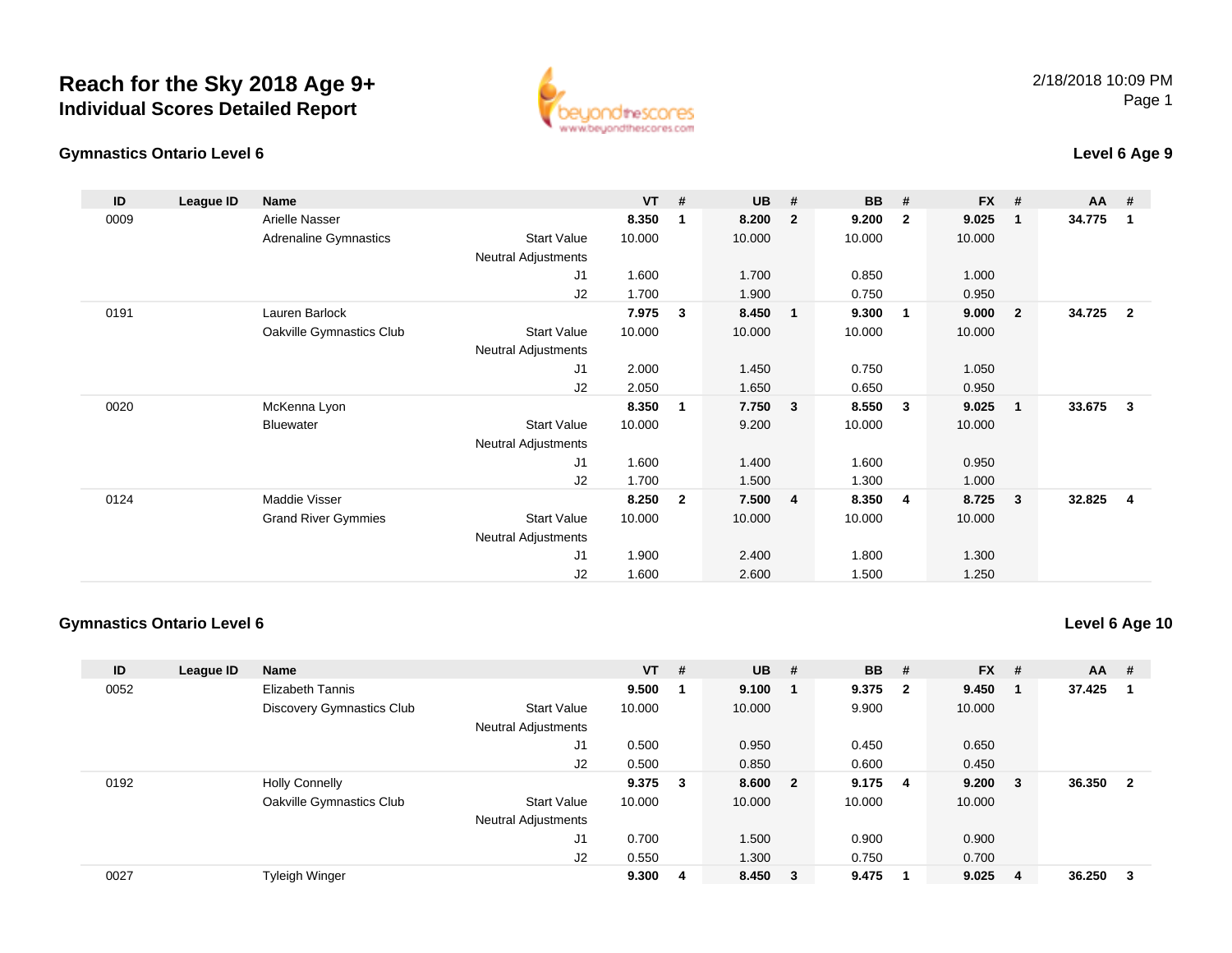



### **Level 6 Age 9**

| ID   | League ID | Name                       |                            | $VT$ # |              | <b>UB</b> | #              | <b>BB</b> | #                       | <b>FX</b> | #                       | <b>AA</b> | #              |
|------|-----------|----------------------------|----------------------------|--------|--------------|-----------|----------------|-----------|-------------------------|-----------|-------------------------|-----------|----------------|
| 0009 |           | Arielle Nasser             |                            | 8.350  | 1            | 8.200     | $\overline{2}$ | 9.200     | $\overline{2}$          | 9.025     | $\mathbf 1$             | 34.775    | -1             |
|      |           | Adrenaline Gymnastics      | <b>Start Value</b>         | 10.000 |              | 10.000    |                | 10.000    |                         | 10.000    |                         |           |                |
|      |           |                            | <b>Neutral Adjustments</b> |        |              |           |                |           |                         |           |                         |           |                |
|      |           |                            | J1                         | 1.600  |              | 1.700     |                | 0.850     |                         | 1.000     |                         |           |                |
|      |           |                            | J2                         | 1.700  |              | 1.900     |                | 0.750     |                         | 0.950     |                         |           |                |
| 0191 |           | Lauren Barlock             |                            | 7.975  | 3            | 8.450     | $\mathbf{1}$   | 9.300     | $\overline{1}$          | 9.000     | $\overline{\mathbf{2}}$ | 34.725    | $\overline{2}$ |
|      |           | Oakville Gymnastics Club   | <b>Start Value</b>         | 10.000 |              | 10.000    |                | 10.000    |                         | 10.000    |                         |           |                |
|      |           |                            | Neutral Adjustments        |        |              |           |                |           |                         |           |                         |           |                |
|      |           |                            | J1                         | 2.000  |              | 1.450     |                | 0.750     |                         | 1.050     |                         |           |                |
|      |           |                            | J2                         | 2.050  |              | 1.650     |                | 0.650     |                         | 0.950     |                         |           |                |
| 0020 |           | McKenna Lyon               |                            | 8.350  | 1            | 7.750     | $\mathbf{3}$   | 8.550     | $\overline{\mathbf{3}}$ | 9.025     | $\overline{\mathbf{1}}$ | 33.675    | 3              |
|      |           | Bluewater                  | <b>Start Value</b>         | 10.000 |              | 9.200     |                | 10.000    |                         | 10.000    |                         |           |                |
|      |           |                            | Neutral Adjustments        |        |              |           |                |           |                         |           |                         |           |                |
|      |           |                            | J1                         | 1.600  |              | 1.400     |                | 1.600     |                         | 0.950     |                         |           |                |
|      |           |                            | J2                         | 1.700  |              | 1.500     |                | 1.300     |                         | 1.000     |                         |           |                |
| 0124 |           | Maddie Visser              |                            | 8.250  | $\mathbf{2}$ | 7.500     | $\overline{4}$ | 8.350     | 4                       | 8.725     | - 3                     | 32.825    | 4              |
|      |           | <b>Grand River Gymmies</b> | <b>Start Value</b>         | 10.000 |              | 10.000    |                | 10.000    |                         | 10.000    |                         |           |                |
|      |           |                            | <b>Neutral Adjustments</b> |        |              |           |                |           |                         |           |                         |           |                |
|      |           |                            | J1                         | 1.900  |              | 2.400     |                | 1.800     |                         | 1.300     |                         |           |                |
|      |           |                            | J <sub>2</sub>             | 1.600  |              | 2.600     |                | 1.500     |                         | 1.250     |                         |           |                |

#### **Gymnastics Ontario Level 6**

**Level 6 Age 10**

| ID   | League ID | Name                             |                            | $VT$ #  |   | <b>UB</b> | # | <b>BB</b> | - #                     | $FX$ #       |    | <b>AA</b> | #   |
|------|-----------|----------------------------------|----------------------------|---------|---|-----------|---|-----------|-------------------------|--------------|----|-----------|-----|
| 0052 |           | <b>Elizabeth Tannis</b>          |                            | 9.500   |   | 9.100     |   | 9.375     | $\overline{\mathbf{2}}$ | 9.450        |    | 37.425    | -1  |
|      |           | <b>Discovery Gymnastics Club</b> | <b>Start Value</b>         | 10.000  |   | 10.000    |   | 9.900     |                         | 10.000       |    |           |     |
|      |           |                                  | <b>Neutral Adjustments</b> |         |   |           |   |           |                         |              |    |           |     |
|      |           |                                  | J1                         | 0.500   |   | 0.950     |   | 0.450     |                         | 0.650        |    |           |     |
|      |           |                                  | J <sub>2</sub>             | 0.500   |   | 0.850     |   | 0.600     |                         | 0.450        |    |           |     |
| 0192 |           | <b>Holly Connelly</b>            |                            | 9.375 3 |   | 8.600 2   |   | 9.175     | - 4                     | $9.200 \t 3$ |    | 36.350    | - 2 |
|      |           | Oakville Gymnastics Club         | <b>Start Value</b>         | 10.000  |   | 10.000    |   | 10.000    |                         | 10.000       |    |           |     |
|      |           |                                  | <b>Neutral Adjustments</b> |         |   |           |   |           |                         |              |    |           |     |
|      |           |                                  | J1                         | 0.700   |   | 1.500     |   | 0.900     |                         | 0.900        |    |           |     |
|      |           |                                  | J2                         | 0.550   |   | 1.300     |   | 0.750     |                         | 0.700        |    |           |     |
| 0027 |           | <b>Tyleigh Winger</b>            |                            | 9.300   | 4 | 8.450 3   |   | 9.475     |                         | 9.025        | -4 | 36.250    | - 3 |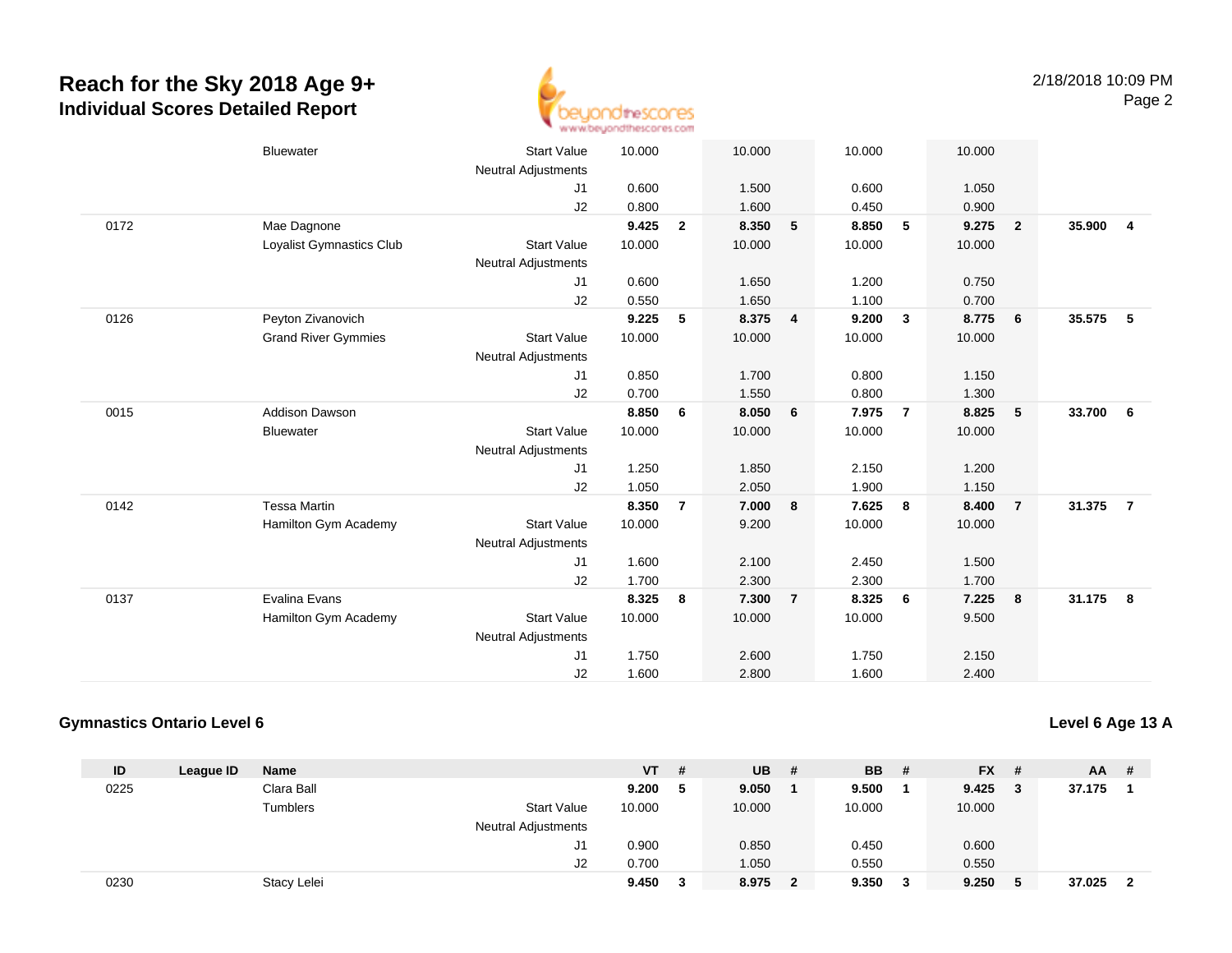

|      | <b>Bluewater</b>           | <b>Start Value</b>         | 10.000 |                | 10.000 |                | 10.000 |                | 10.000 |                         |          |                         |
|------|----------------------------|----------------------------|--------|----------------|--------|----------------|--------|----------------|--------|-------------------------|----------|-------------------------|
|      |                            | <b>Neutral Adjustments</b> |        |                |        |                |        |                |        |                         |          |                         |
|      |                            | J1                         | 0.600  |                | 1.500  |                | 0.600  |                | 1.050  |                         |          |                         |
|      |                            | J2                         | 0.800  |                | 1.600  |                | 0.450  |                | 0.900  |                         |          |                         |
| 0172 | Mae Dagnone                |                            | 9.425  | $\overline{2}$ | 8.350  | 5              | 8.850  | 5              | 9.275  | $\overline{\mathbf{2}}$ | 35.900   | $\overline{\mathbf{4}}$ |
|      | Loyalist Gymnastics Club   | <b>Start Value</b>         | 10.000 |                | 10.000 |                | 10.000 |                | 10.000 |                         |          |                         |
|      |                            | <b>Neutral Adjustments</b> |        |                |        |                |        |                |        |                         |          |                         |
|      |                            | J1                         | 0.600  |                | 1.650  |                | 1.200  |                | 0.750  |                         |          |                         |
|      |                            | J2                         | 0.550  |                | 1.650  |                | 1.100  |                | 0.700  |                         |          |                         |
| 0126 | Peyton Zivanovich          |                            | 9.225  | 5              | 8.375  | $\overline{4}$ | 9.200  | $\mathbf{3}$   | 8.775  | 6                       | 35.575   | 5                       |
|      | <b>Grand River Gymmies</b> | <b>Start Value</b>         | 10.000 |                | 10.000 |                | 10.000 |                | 10.000 |                         |          |                         |
|      |                            | <b>Neutral Adjustments</b> |        |                |        |                |        |                |        |                         |          |                         |
|      |                            | J1                         | 0.850  |                | 1.700  |                | 0.800  |                | 1.150  |                         |          |                         |
|      |                            | J2                         | 0.700  |                | 1.550  |                | 0.800  |                | 1.300  |                         |          |                         |
| 0015 | <b>Addison Dawson</b>      |                            | 8.850  | 6              | 8.050  | 6              | 7.975  | $\overline{7}$ | 8.825  | $\sqrt{5}$              | 33.700   | 6                       |
|      | <b>Bluewater</b>           | <b>Start Value</b>         | 10.000 |                | 10.000 |                | 10.000 |                | 10.000 |                         |          |                         |
|      |                            | <b>Neutral Adjustments</b> |        |                |        |                |        |                |        |                         |          |                         |
|      |                            | J1                         | 1.250  |                | 1.850  |                | 2.150  |                | 1.200  |                         |          |                         |
|      |                            | J2                         | 1.050  |                | 2.050  |                | 1.900  |                | 1.150  |                         |          |                         |
| 0142 | <b>Tessa Martin</b>        |                            | 8.350  | $\overline{7}$ | 7.000  | 8              | 7.625  | 8              | 8.400  | $\overline{7}$          | 31.375   | $\overline{7}$          |
|      | Hamilton Gym Academy       | <b>Start Value</b>         | 10.000 |                | 9.200  |                | 10.000 |                | 10.000 |                         |          |                         |
|      |                            | <b>Neutral Adjustments</b> |        |                |        |                |        |                |        |                         |          |                         |
|      |                            | J1                         | 1.600  |                | 2.100  |                | 2.450  |                | 1.500  |                         |          |                         |
|      |                            | J2                         | 1.700  |                | 2.300  |                | 2.300  |                | 1.700  |                         |          |                         |
| 0137 | Evalina Evans              |                            | 8.325  | 8              | 7.300  | $\overline{7}$ | 8.325  | 6              | 7.225  | 8                       | 31.175 8 |                         |
|      | Hamilton Gym Academy       | <b>Start Value</b>         | 10.000 |                | 10.000 |                | 10.000 |                | 9.500  |                         |          |                         |
|      |                            | <b>Neutral Adjustments</b> |        |                |        |                |        |                |        |                         |          |                         |
|      |                            | J1                         | 1.750  |                | 2.600  |                | 1.750  |                | 2.150  |                         |          |                         |
|      |                            | J2                         | 1.600  |                | 2.800  |                | 1.600  |                | 2.400  |                         |          |                         |
|      |                            |                            |        |                |        |                |        |                |        |                         |          |                         |

#### **Gymnastics Ontario Level 6**

**Level 6 Age 13 A**

| ID   | League ID | Name        |                            | <b>VT</b> | # | <b>UB</b> | # | <b>BB</b> | - # | $FX$ #  |     | AA.    | -# |
|------|-----------|-------------|----------------------------|-----------|---|-----------|---|-----------|-----|---------|-----|--------|----|
| 0225 |           | Clara Ball  |                            | 9.200     | 5 | 9.050     |   | 9.500     |     | 9.425   | - 3 | 37.175 |    |
|      |           | Tumblers    | <b>Start Value</b>         | 10.000    |   | 10.000    |   | 10.000    |     | 10.000  |     |        |    |
|      |           |             | <b>Neutral Adjustments</b> |           |   |           |   |           |     |         |     |        |    |
|      |           |             | J1                         | 0.900     |   | 0.850     |   | 0.450     |     | 0.600   |     |        |    |
|      |           |             | J2                         | 0.700     |   | 1.050     |   | 0.550     |     | 0.550   |     |        |    |
| 0230 |           | Stacy Lelei |                            | 9.450     | 3 | 8.975     |   | 9.350     | 3   | 9.250 5 |     | 37.025 | -2 |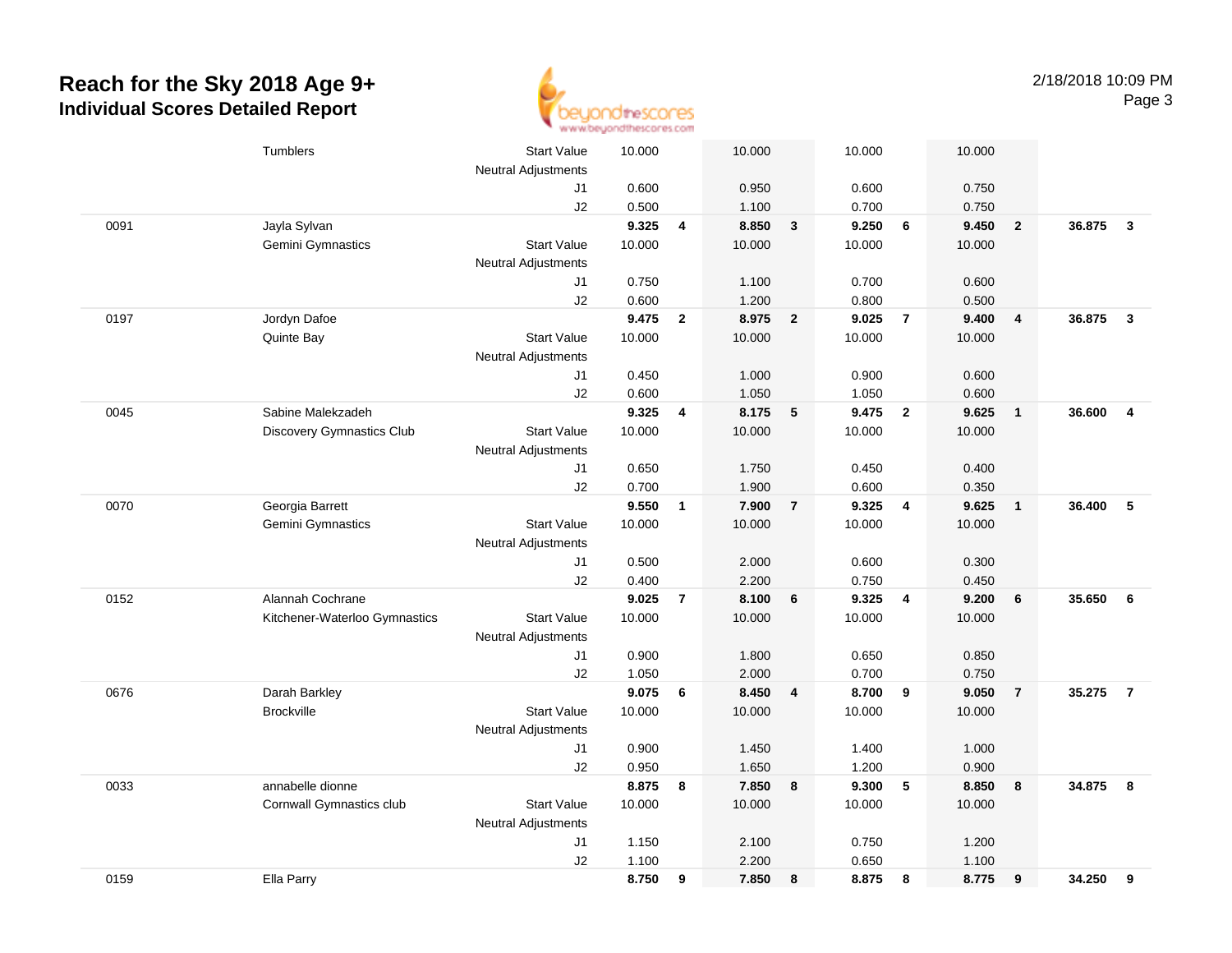

|      | Tumblers                         | <b>Start Value</b><br><b>Neutral Adjustments</b> | 10.000 |                | 10.000 |                | 10.000 |                         | 10.000 |                         |        |                         |
|------|----------------------------------|--------------------------------------------------|--------|----------------|--------|----------------|--------|-------------------------|--------|-------------------------|--------|-------------------------|
|      |                                  | J1                                               | 0.600  |                | 0.950  |                | 0.600  |                         | 0.750  |                         |        |                         |
|      |                                  | J2                                               | 0.500  |                | 1.100  |                | 0.700  |                         | 0.750  |                         |        |                         |
| 0091 | Jayla Sylvan                     |                                                  | 9.325  | 4              | 8.850  | $\mathbf{3}$   | 9.250  | 6                       | 9.450  | $\overline{\mathbf{2}}$ | 36.875 | $\mathbf{3}$            |
|      | Gemini Gymnastics                | <b>Start Value</b>                               | 10.000 |                | 10.000 |                | 10.000 |                         | 10.000 |                         |        |                         |
|      |                                  | <b>Neutral Adjustments</b>                       |        |                |        |                |        |                         |        |                         |        |                         |
|      |                                  | J1                                               | 0.750  |                | 1.100  |                | 0.700  |                         | 0.600  |                         |        |                         |
|      |                                  | J2                                               | 0.600  |                | 1.200  |                | 0.800  |                         | 0.500  |                         |        |                         |
| 0197 | Jordyn Dafoe                     |                                                  | 9.475  | $\overline{2}$ | 8.975  | $\overline{2}$ | 9.025  | $\overline{7}$          | 9.400  | $\overline{4}$          | 36.875 | $\overline{\mathbf{3}}$ |
|      | Quinte Bay                       | <b>Start Value</b>                               | 10.000 |                | 10.000 |                | 10.000 |                         | 10.000 |                         |        |                         |
|      |                                  | <b>Neutral Adjustments</b>                       |        |                |        |                |        |                         |        |                         |        |                         |
|      |                                  | J1                                               | 0.450  |                | 1.000  |                | 0.900  |                         | 0.600  |                         |        |                         |
|      |                                  | J2                                               | 0.600  |                | 1.050  |                | 1.050  |                         | 0.600  |                         |        |                         |
| 0045 | Sabine Malekzadeh                |                                                  | 9.325  | 4              | 8.175  | 5              | 9.475  | $\overline{2}$          | 9.625  | $\overline{\mathbf{1}}$ | 36.600 | $\overline{4}$          |
|      | <b>Discovery Gymnastics Club</b> | <b>Start Value</b>                               | 10.000 |                | 10.000 |                | 10.000 |                         | 10.000 |                         |        |                         |
|      |                                  | <b>Neutral Adjustments</b>                       |        |                |        |                |        |                         |        |                         |        |                         |
|      |                                  | J1                                               | 0.650  |                | 1.750  |                | 0.450  |                         | 0.400  |                         |        |                         |
|      |                                  | J2                                               | 0.700  |                | 1.900  |                | 0.600  |                         | 0.350  |                         |        |                         |
| 0070 | Georgia Barrett                  |                                                  | 9.550  | $\overline{1}$ | 7.900  | $\overline{7}$ | 9.325  | $\overline{\mathbf{4}}$ | 9.625  | $\overline{\mathbf{1}}$ | 36.400 | - 5                     |
|      | Gemini Gymnastics                | <b>Start Value</b>                               | 10.000 |                | 10.000 |                | 10.000 |                         | 10.000 |                         |        |                         |
|      |                                  | <b>Neutral Adjustments</b>                       |        |                |        |                |        |                         |        |                         |        |                         |
|      |                                  | J1                                               | 0.500  |                | 2.000  |                | 0.600  |                         | 0.300  |                         |        |                         |
|      |                                  | J2                                               | 0.400  |                | 2.200  |                | 0.750  |                         | 0.450  |                         |        |                         |
| 0152 | Alannah Cochrane                 |                                                  | 9.025  | $\overline{7}$ | 8.100  | 6              | 9.325  | 4                       | 9.200  | 6                       | 35.650 | 6                       |
|      | Kitchener-Waterloo Gymnastics    | <b>Start Value</b>                               | 10.000 |                | 10.000 |                | 10.000 |                         | 10.000 |                         |        |                         |
|      |                                  | Neutral Adjustments                              |        |                |        |                |        |                         |        |                         |        |                         |
|      |                                  | J1                                               | 0.900  |                | 1.800  |                | 0.650  |                         | 0.850  |                         |        |                         |
|      |                                  | J2                                               | 1.050  |                | 2.000  |                | 0.700  |                         | 0.750  |                         |        |                         |
| 0676 | Darah Barkley                    |                                                  | 9.075  | 6              | 8.450  | 4              | 8.700  | 9                       | 9.050  | $\overline{7}$          | 35.275 | $\overline{7}$          |
|      | <b>Brockville</b>                | <b>Start Value</b>                               | 10.000 |                | 10.000 |                | 10.000 |                         | 10.000 |                         |        |                         |
|      |                                  | <b>Neutral Adjustments</b>                       |        |                |        |                |        |                         |        |                         |        |                         |
|      |                                  | J1                                               | 0.900  |                | 1.450  |                | 1.400  |                         | 1.000  |                         |        |                         |
|      |                                  | J2                                               | 0.950  |                | 1.650  |                | 1.200  |                         | 0.900  |                         |        |                         |
| 0033 | annabelle dionne                 |                                                  | 8.875  | 8              | 7.850  | 8              | 9.300  | $\sqrt{5}$              | 8.850  | 8                       | 34.875 | 8                       |
|      | Cornwall Gymnastics club         | <b>Start Value</b>                               | 10.000 |                | 10.000 |                | 10.000 |                         | 10.000 |                         |        |                         |
|      |                                  | <b>Neutral Adjustments</b>                       |        |                |        |                |        |                         |        |                         |        |                         |
|      |                                  | J1                                               | 1.150  |                | 2.100  |                | 0.750  |                         | 1.200  |                         |        |                         |
|      |                                  | J2                                               | 1.100  |                | 2.200  |                | 0.650  |                         | 1.100  |                         |        |                         |
| 0159 | Ella Parry                       |                                                  | 8.750  | 9              | 7.850  | 8              | 8.875  | 8                       | 8.775  | $_{9}$                  | 34.250 | 9                       |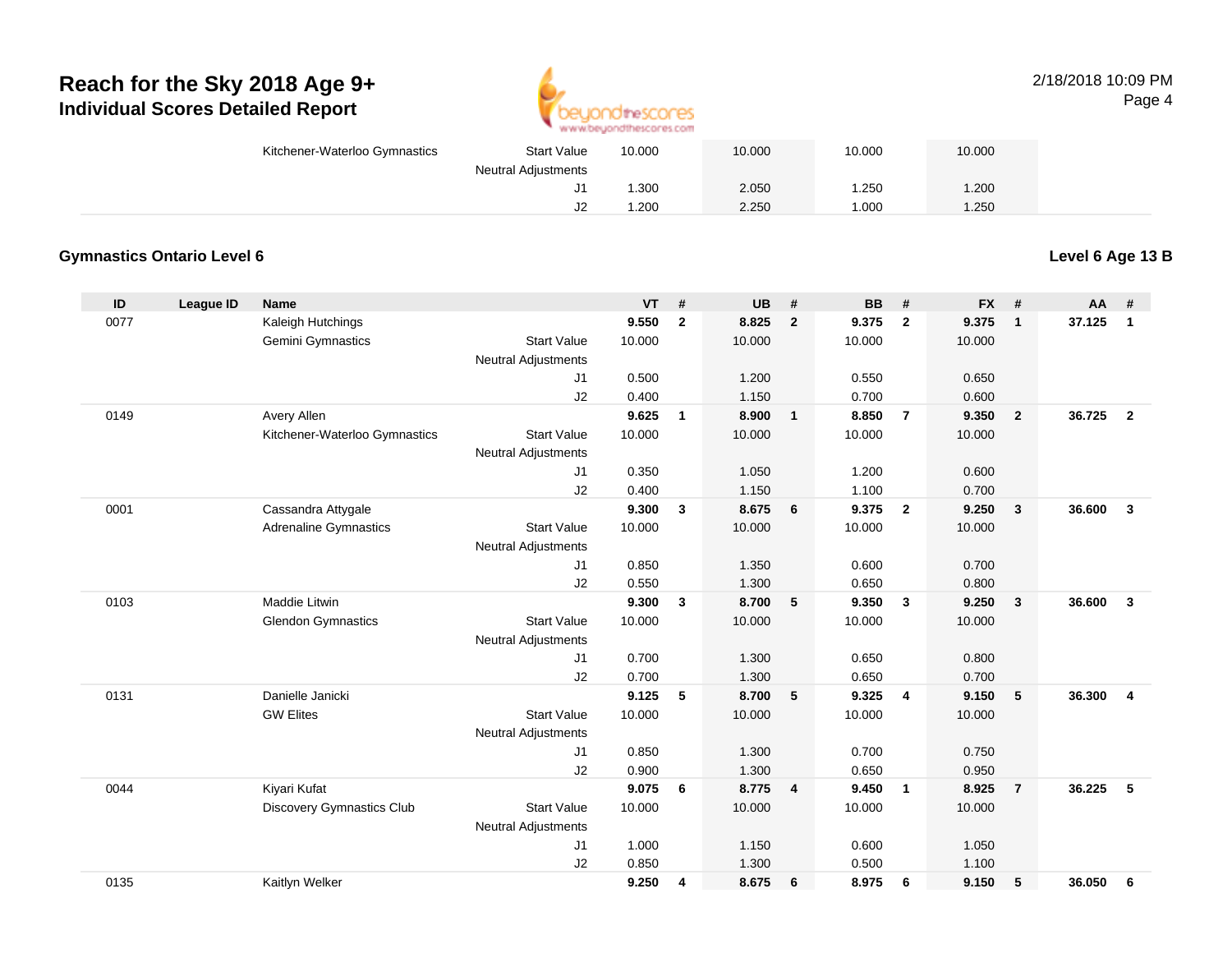

#### 2/18/2018 10:09 PMPage 4

| <b>Start Value</b><br>Kitchener-Waterloo Gymnastics | 10.000                  | 10.000 | 10.000 | 10.000 |  |
|-----------------------------------------------------|-------------------------|--------|--------|--------|--|
| <b>Neutral Adjustments</b>                          |                         |        |        |        |  |
|                                                     | .300<br><sup>11</sup> ل | 2.050  | 1.250  | 1.200  |  |
|                                                     | .200<br>J2              | 2.250  | 1.000  | 1.250  |  |

#### **Gymnastics Ontario Level 6**

**Level 6 Age 13 B**

| ID   | League ID | <b>Name</b>                   |                            | <b>VT</b> | #            | <b>UB</b> | #               | <b>BB</b> | #                       | <b>FX</b> | #                       | AA     | #                   |
|------|-----------|-------------------------------|----------------------------|-----------|--------------|-----------|-----------------|-----------|-------------------------|-----------|-------------------------|--------|---------------------|
| 0077 |           | Kaleigh Hutchings             |                            | 9.550     | $\mathbf{2}$ | 8.825     | $\overline{2}$  | 9.375     | $\overline{2}$          | 9.375     | $\mathbf{1}$            | 37.125 | $\mathbf{1}$        |
|      |           | Gemini Gymnastics             | <b>Start Value</b>         | 10.000    |              | 10.000    |                 | 10.000    |                         | 10.000    |                         |        |                     |
|      |           |                               | <b>Neutral Adjustments</b> |           |              |           |                 |           |                         |           |                         |        |                     |
|      |           |                               | J1                         | 0.500     |              | 1.200     |                 | 0.550     |                         | 0.650     |                         |        |                     |
|      |           |                               | J2                         | 0.400     |              | 1.150     |                 | 0.700     |                         | 0.600     |                         |        |                     |
| 0149 |           | Avery Allen                   |                            | 9.625     | $\mathbf{1}$ | 8.900     | $\mathbf{1}$    | 8.850     | $\overline{7}$          | 9.350     | $\overline{2}$          | 36.725 | $\overline{2}$      |
|      |           | Kitchener-Waterloo Gymnastics | <b>Start Value</b>         | 10.000    |              | 10.000    |                 | 10.000    |                         | 10.000    |                         |        |                     |
|      |           |                               | <b>Neutral Adjustments</b> |           |              |           |                 |           |                         |           |                         |        |                     |
|      |           |                               | J1                         | 0.350     |              | 1.050     |                 | 1.200     |                         | 0.600     |                         |        |                     |
|      |           |                               | J2                         | 0.400     |              | 1.150     |                 | 1.100     |                         | 0.700     |                         |        |                     |
| 0001 |           | Cassandra Attygale            |                            | 9.300     | 3            | 8.675     | 6               | 9.375     | $\overline{2}$          | 9.250     | $\overline{\mathbf{3}}$ | 36,600 | $\mathbf{3}$        |
|      |           | <b>Adrenaline Gymnastics</b>  | <b>Start Value</b>         | 10.000    |              | 10.000    |                 | 10.000    |                         | 10.000    |                         |        |                     |
|      |           |                               | Neutral Adjustments        |           |              |           |                 |           |                         |           |                         |        |                     |
|      |           |                               | J1                         | 0.850     |              | 1.350     |                 | 0.600     |                         | 0.700     |                         |        |                     |
|      |           |                               | J2                         | 0.550     |              | 1.300     |                 | 0.650     |                         | 0.800     |                         |        |                     |
| 0103 |           | Maddie Litwin                 |                            | 9.300     | $\mathbf{3}$ | 8.700     | $5\phantom{.0}$ | 9.350     | $\overline{\mathbf{3}}$ | 9.250     | $\mathbf{3}$            | 36,600 | $\mathbf{3}$        |
|      |           | <b>Glendon Gymnastics</b>     | <b>Start Value</b>         | 10.000    |              | 10.000    |                 | 10.000    |                         | 10.000    |                         |        |                     |
|      |           |                               | Neutral Adjustments        |           |              |           |                 |           |                         |           |                         |        |                     |
|      |           |                               | J1                         | 0.700     |              | 1.300     |                 | 0.650     |                         | 0.800     |                         |        |                     |
|      |           |                               | J2                         | 0.700     |              | 1.300     |                 | 0.650     |                         | 0.700     |                         |        |                     |
| 0131 |           | Danielle Janicki              |                            | 9.125     | 5            | 8.700     | 5               | 9.325     | $\overline{4}$          | 9.150     | 5                       | 36.300 | $\overline{\bf{4}}$ |
|      |           | <b>GW Elites</b>              | <b>Start Value</b>         | 10.000    |              | 10.000    |                 | 10.000    |                         | 10.000    |                         |        |                     |
|      |           |                               | Neutral Adjustments        |           |              |           |                 |           |                         |           |                         |        |                     |
|      |           |                               | J1                         | 0.850     |              | 1.300     |                 | 0.700     |                         | 0.750     |                         |        |                     |
|      |           |                               | J2                         | 0.900     |              | 1.300     |                 | 0.650     |                         | 0.950     |                         |        |                     |
| 0044 |           | Kiyari Kufat                  |                            | 9.075     | 6            | 8.775     | $\overline{4}$  | 9.450     | $\overline{1}$          | 8.925     | $\overline{7}$          | 36.225 | 5                   |
|      |           | Discovery Gymnastics Club     | <b>Start Value</b>         | 10.000    |              | 10.000    |                 | 10.000    |                         | 10.000    |                         |        |                     |
|      |           |                               | Neutral Adjustments        |           |              |           |                 |           |                         |           |                         |        |                     |
|      |           |                               | J1                         | 1.000     |              | 1.150     |                 | 0.600     |                         | 1.050     |                         |        |                     |
|      |           |                               | J2                         | 0.850     |              | 1.300     |                 | 0.500     |                         | 1.100     |                         |        |                     |
| 0135 |           | Kaitlyn Welker                |                            | 9.250     | 4            | 8.675     | 6               | 8.975     | 6                       | 9.150     | 5                       | 36.050 | 6                   |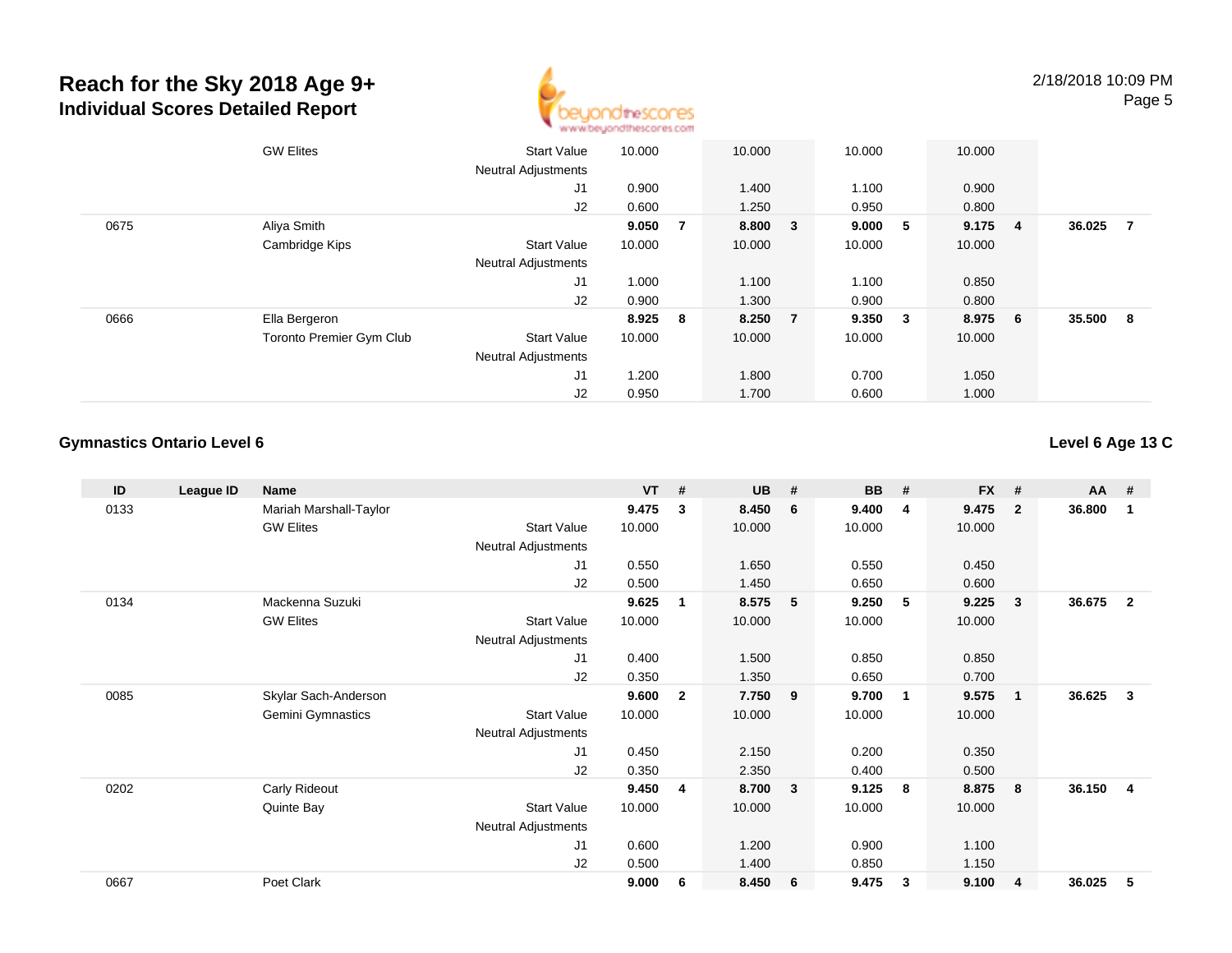

|      | <b>GW Elites</b>                | <b>Start Value</b>         | 10.000  |     | 10.000  |                | 10.000 |              | 10.000 |                |        |                |
|------|---------------------------------|----------------------------|---------|-----|---------|----------------|--------|--------------|--------|----------------|--------|----------------|
|      |                                 | <b>Neutral Adjustments</b> |         |     |         |                |        |              |        |                |        |                |
|      |                                 | J1                         | 0.900   |     | 1.400   |                | 1.100  |              | 0.900  |                |        |                |
|      |                                 | J2                         | 0.600   |     | 1.250   |                | 0.950  |              | 0.800  |                |        |                |
| 0675 | Aliya Smith                     |                            | 9.050   | - 7 | 8.800 3 |                | 9.000  | $5^{\circ}$  | 9.175  | $\overline{4}$ | 36.025 | $\overline{7}$ |
|      | Cambridge Kips                  | <b>Start Value</b>         | 10.000  |     | 10.000  |                | 10.000 |              | 10.000 |                |        |                |
|      |                                 | <b>Neutral Adjustments</b> |         |     |         |                |        |              |        |                |        |                |
|      |                                 | J1                         | 1.000   |     | 1.100   |                | 1.100  |              | 0.850  |                |        |                |
|      |                                 | J2                         | 0.900   |     | 1.300   |                | 0.900  |              | 0.800  |                |        |                |
| 0666 | Ella Bergeron                   |                            | 8.925 8 |     | 8.250   | $\overline{7}$ | 9.350  | $\mathbf{3}$ | 8.975  | 6              | 35.500 | - 8            |
|      | <b>Toronto Premier Gym Club</b> | <b>Start Value</b>         | 10.000  |     | 10.000  |                | 10.000 |              | 10.000 |                |        |                |
|      |                                 | <b>Neutral Adjustments</b> |         |     |         |                |        |              |        |                |        |                |
|      |                                 | J <sub>1</sub>             | 1.200   |     | 1.800   |                | 0.700  |              | 1.050  |                |        |                |
|      |                                 | J2                         | 0.950   |     | 1.700   |                | 0.600  |              | 1.000  |                |        |                |

#### **Gymnastics Ontario Level 6**

#### **Level 6 Age 13 C**

| ID   | League ID | <b>Name</b>              |                     | $VT$ # |              | <b>UB</b> | # | <b>BB</b> | #                       | <b>FX</b> | #                       | <b>AA</b> | #              |
|------|-----------|--------------------------|---------------------|--------|--------------|-----------|---|-----------|-------------------------|-----------|-------------------------|-----------|----------------|
| 0133 |           | Mariah Marshall-Taylor   |                     | 9.475  | 3            | 8.450     | 6 | 9.400     | 4                       | 9.475     | $\overline{2}$          | 36.800    | -1             |
|      |           | <b>GW Elites</b>         | Start Value         | 10.000 |              | 10.000    |   | 10.000    |                         | 10.000    |                         |           |                |
|      |           |                          | Neutral Adjustments |        |              |           |   |           |                         |           |                         |           |                |
|      |           |                          | J1                  | 0.550  |              | 1.650     |   | 0.550     |                         | 0.450     |                         |           |                |
|      |           |                          | J2                  | 0.500  |              | 1.450     |   | 0.650     |                         | 0.600     |                         |           |                |
| 0134 |           | Mackenna Suzuki          |                     | 9.625  | 1            | 8.575     | 5 | 9.250     | -5                      | 9.225     | 3                       | 36.675    | $\overline{2}$ |
|      |           | <b>GW Elites</b>         | <b>Start Value</b>  | 10.000 |              | 10.000    |   | 10.000    |                         | 10.000    |                         |           |                |
|      |           |                          | Neutral Adjustments |        |              |           |   |           |                         |           |                         |           |                |
|      |           |                          | J1                  | 0.400  |              | 1.500     |   | 0.850     |                         | 0.850     |                         |           |                |
|      |           |                          | J2                  | 0.350  |              | 1.350     |   | 0.650     |                         | 0.700     |                         |           |                |
| 0085 |           | Skylar Sach-Anderson     |                     | 9.600  | $\mathbf{2}$ | 7.750     | 9 | 9.700     | $\overline{\mathbf{1}}$ | 9.575     | $\overline{\mathbf{1}}$ | 36.625    | 3              |
|      |           | <b>Gemini Gymnastics</b> | <b>Start Value</b>  | 10.000 |              | 10.000    |   | 10.000    |                         | 10.000    |                         |           |                |
|      |           |                          | Neutral Adjustments |        |              |           |   |           |                         |           |                         |           |                |
|      |           |                          | J <sub>1</sub>      | 0.450  |              | 2.150     |   | 0.200     |                         | 0.350     |                         |           |                |
|      |           |                          | J2                  | 0.350  |              | 2.350     |   | 0.400     |                         | 0.500     |                         |           |                |
| 0202 |           | Carly Rideout            |                     | 9.450  | 4            | 8.700     | 3 | 9.125     | 8                       | 8.875     | 8                       | 36.150    | 4              |
|      |           | Quinte Bay               | <b>Start Value</b>  | 10.000 |              | 10.000    |   | 10.000    |                         | 10.000    |                         |           |                |
|      |           |                          | Neutral Adjustments |        |              |           |   |           |                         |           |                         |           |                |
|      |           |                          | J <sub>1</sub>      | 0.600  |              | 1.200     |   | 0.900     |                         | 1.100     |                         |           |                |
|      |           |                          | J2                  | 0.500  |              | 1.400     |   | 0.850     |                         | 1.150     |                         |           |                |
| 0667 |           | Poet Clark               |                     | 9.000  | 6            | 8.450     | 6 | 9.475     | 3                       | 9.100     | $\overline{4}$          | 36.025    | 5              |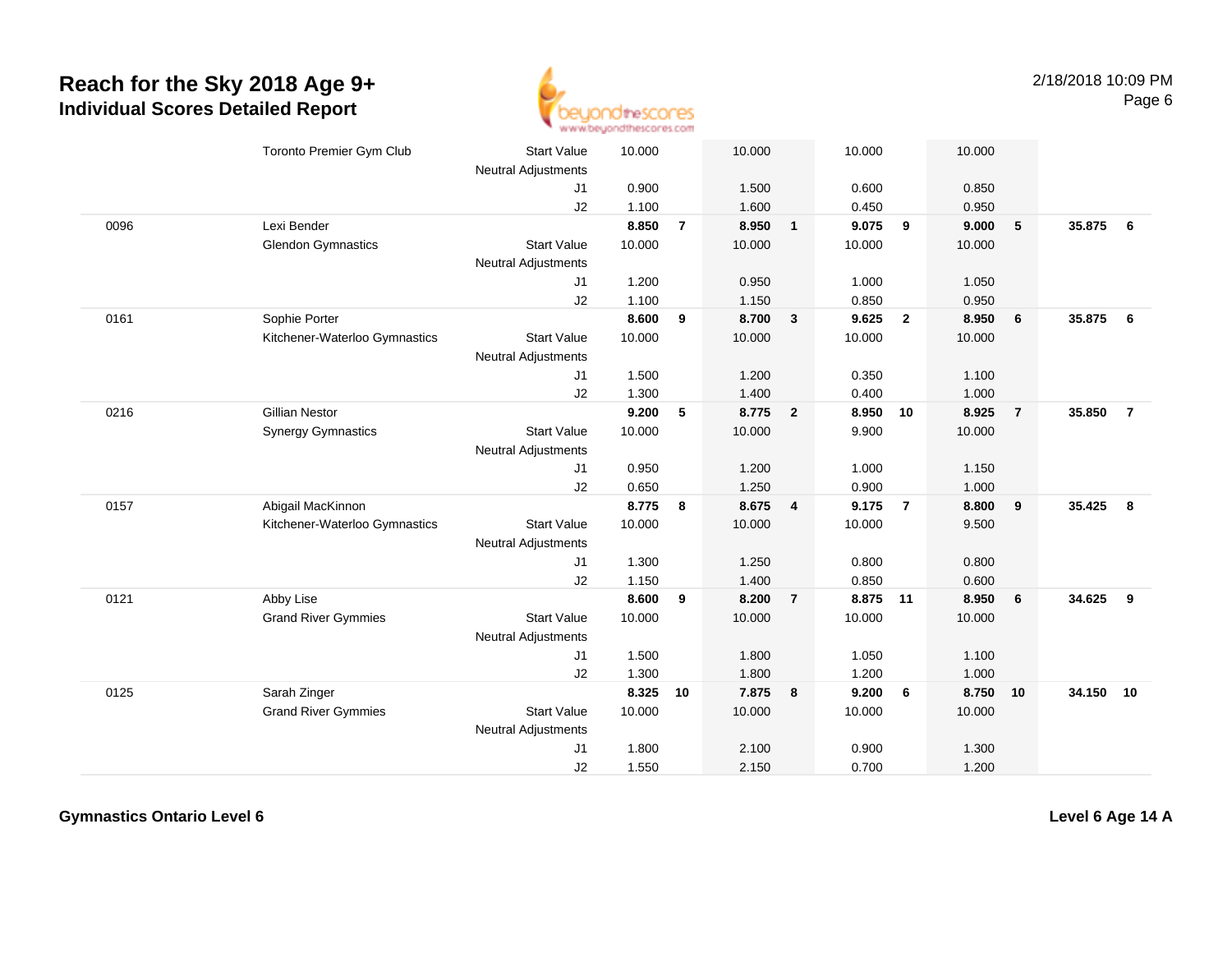

|      | Toronto Premier Gym Club      | <b>Start Value</b>         | 10.000 |                | 10.000 |                         | 10.000 |                 | 10.000   |                         |        |                |
|------|-------------------------------|----------------------------|--------|----------------|--------|-------------------------|--------|-----------------|----------|-------------------------|--------|----------------|
|      |                               | Neutral Adjustments        |        |                |        |                         |        |                 |          |                         |        |                |
|      |                               | J <sub>1</sub>             | 0.900  |                | 1.500  |                         | 0.600  |                 | 0.850    |                         |        |                |
|      |                               | J2                         | 1.100  |                | 1.600  |                         | 0.450  |                 | 0.950    |                         |        |                |
| 0096 | Lexi Bender                   |                            | 8.850  | $\overline{7}$ | 8.950  | $\mathbf{1}$            | 9.075  | 9               | 9.000    | 5                       | 35.875 | - 6            |
|      | <b>Glendon Gymnastics</b>     | <b>Start Value</b>         | 10.000 |                | 10.000 |                         | 10.000 |                 | 10.000   |                         |        |                |
|      |                               | <b>Neutral Adjustments</b> |        |                |        |                         |        |                 |          |                         |        |                |
|      |                               | J1                         | 1.200  |                | 0.950  |                         | 1.000  |                 | 1.050    |                         |        |                |
|      |                               | J2                         | 1.100  |                | 1.150  |                         | 0.850  |                 | 0.950    |                         |        |                |
| 0161 | Sophie Porter                 |                            | 8.600  | 9              | 8.700  | $\mathbf{3}$            | 9.625  | $\overline{2}$  | 8.950    | 6                       | 35.875 | 6              |
|      | Kitchener-Waterloo Gymnastics | <b>Start Value</b>         | 10.000 |                | 10.000 |                         | 10.000 |                 | 10.000   |                         |        |                |
|      |                               | <b>Neutral Adjustments</b> |        |                |        |                         |        |                 |          |                         |        |                |
|      |                               | J1                         | 1.500  |                | 1.200  |                         | 0.350  |                 | 1.100    |                         |        |                |
|      |                               | J2                         | 1.300  |                | 1.400  |                         | 0.400  |                 | 1.000    |                         |        |                |
| 0216 | <b>Gillian Nestor</b>         |                            | 9.200  | 5              | 8.775  | $\overline{2}$          | 8.950  | 10              | 8.925    | $\overline{7}$          | 35.850 | $\overline{7}$ |
|      | <b>Synergy Gymnastics</b>     | <b>Start Value</b>         | 10.000 |                | 10.000 |                         | 9.900  |                 | 10.000   |                         |        |                |
|      |                               | <b>Neutral Adjustments</b> |        |                |        |                         |        |                 |          |                         |        |                |
|      |                               | J1                         | 0.950  |                | 1.200  |                         | 1.000  |                 | 1.150    |                         |        |                |
|      |                               | J2                         | 0.650  |                | 1.250  |                         | 0.900  |                 | 1.000    |                         |        |                |
| 0157 | Abigail MacKinnon             |                            | 8.775  | 8              | 8.675  | $\overline{\mathbf{4}}$ | 9.175  | $\overline{7}$  | 8.800    | $\overline{\mathbf{9}}$ | 35.425 | 8              |
|      | Kitchener-Waterloo Gymnastics | <b>Start Value</b>         | 10.000 |                | 10.000 |                         | 10.000 |                 | 9.500    |                         |        |                |
|      |                               | <b>Neutral Adjustments</b> |        |                |        |                         |        |                 |          |                         |        |                |
|      |                               | J1                         | 1.300  |                | 1.250  |                         | 0.800  |                 | 0.800    |                         |        |                |
|      |                               | J2                         | 1.150  |                | 1.400  |                         | 0.850  |                 | 0.600    |                         |        |                |
| 0121 | Abby Lise                     |                            | 8.600  | 9              | 8.200  | $\overline{7}$          | 8.875  | 11              | 8.950    | 6                       | 34.625 | 9              |
|      | <b>Grand River Gymmies</b>    | <b>Start Value</b>         | 10.000 |                | 10.000 |                         | 10.000 |                 | 10.000   |                         |        |                |
|      |                               | <b>Neutral Adjustments</b> |        |                |        |                         |        |                 |          |                         |        |                |
|      |                               | J <sub>1</sub>             | 1.500  |                | 1.800  |                         | 1.050  |                 | 1.100    |                         |        |                |
|      |                               | J2                         | 1.300  |                | 1.800  |                         | 1.200  |                 | 1.000    |                         |        |                |
| 0125 | Sarah Zinger                  |                            | 8.325  | 10             | 7.875  | 8                       | 9.200  | $6\phantom{.}6$ | 8.750 10 |                         | 34.150 | 10             |
|      | <b>Grand River Gymmies</b>    | <b>Start Value</b>         | 10.000 |                | 10.000 |                         | 10.000 |                 | 10.000   |                         |        |                |
|      |                               | <b>Neutral Adjustments</b> |        |                |        |                         |        |                 |          |                         |        |                |
|      |                               | J1                         | 1.800  |                | 2.100  |                         | 0.900  |                 | 1.300    |                         |        |                |
|      |                               | J2                         | 1.550  |                | 2.150  |                         | 0.700  |                 | 1.200    |                         |        |                |
|      |                               |                            |        |                |        |                         |        |                 |          |                         |        |                |

**Gymnastics Ontario Level 6**

**Level 6 Age 14 A**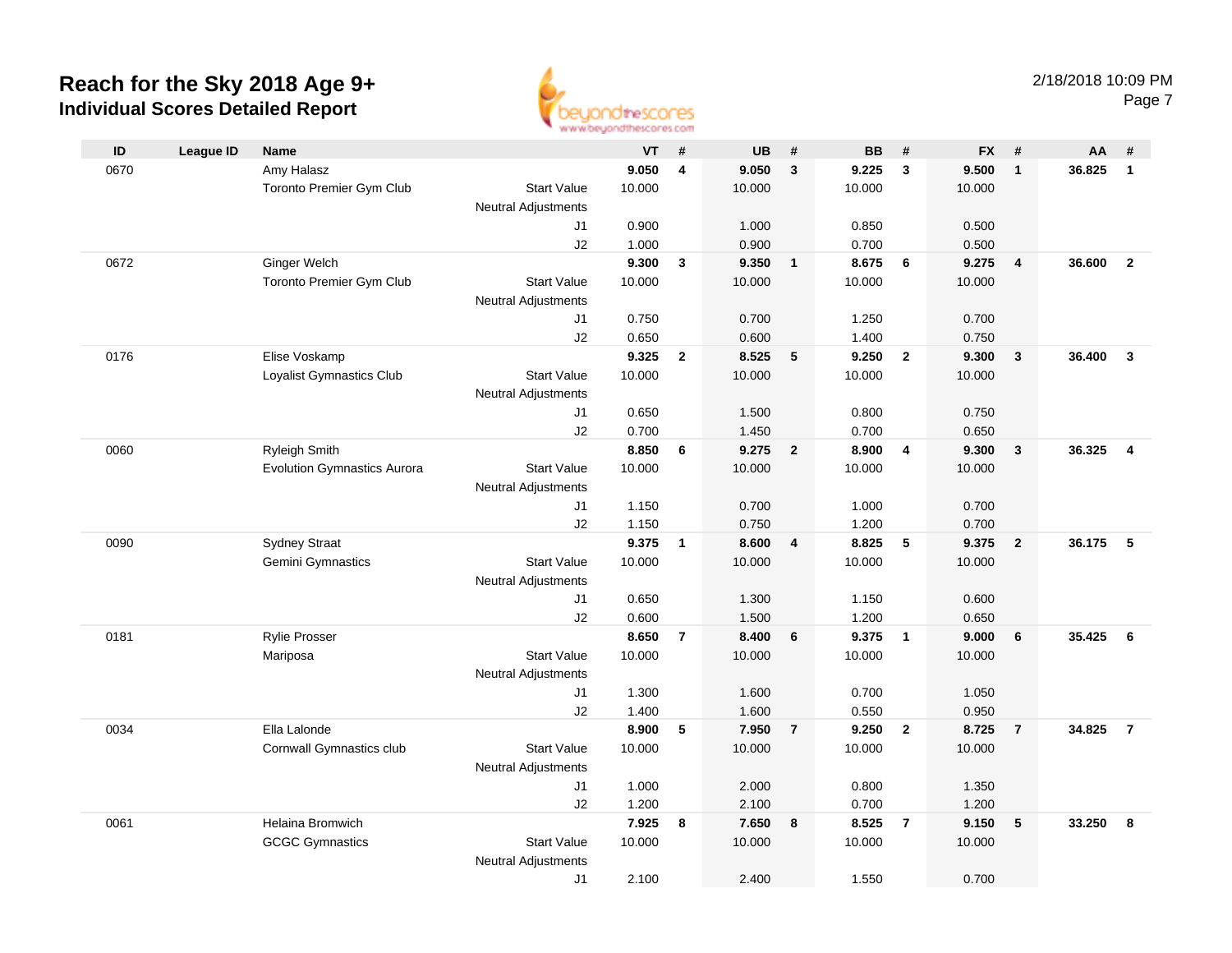

|      |                  |                                    |                            | <b>THE THE THE NEW YORK PART PARTY PRESS</b> |                         |           |                         |           |                         |           |                         |        |                         |
|------|------------------|------------------------------------|----------------------------|----------------------------------------------|-------------------------|-----------|-------------------------|-----------|-------------------------|-----------|-------------------------|--------|-------------------------|
| ID   | <b>League ID</b> | Name                               |                            | <b>VT</b>                                    | #                       | <b>UB</b> | #                       | <b>BB</b> | #                       | <b>FX</b> | #                       | AA     | #                       |
| 0670 |                  | Amy Halasz                         |                            | 9.050                                        | $\overline{\mathbf{4}}$ | 9.050     | $\mathbf{3}$            | 9.225     | $\mathbf{3}$            | 9.500     | $\overline{1}$          | 36.825 | $\mathbf{1}$            |
|      |                  | Toronto Premier Gym Club           | <b>Start Value</b>         | 10.000                                       |                         | 10.000    |                         | 10.000    |                         | 10.000    |                         |        |                         |
|      |                  |                                    | <b>Neutral Adjustments</b> |                                              |                         |           |                         |           |                         |           |                         |        |                         |
|      |                  |                                    | J1                         | 0.900                                        |                         | 1.000     |                         | 0.850     |                         | 0.500     |                         |        |                         |
|      |                  |                                    | J2                         | 1.000                                        |                         | 0.900     |                         | 0.700     |                         | 0.500     |                         |        |                         |
| 0672 |                  | <b>Ginger Welch</b>                |                            | 9.300                                        | $\mathbf{3}$            | 9.350     | $\overline{\mathbf{1}}$ | 8.675     | 6                       | 9.275     | $\overline{\mathbf{4}}$ | 36.600 | $\overline{2}$          |
|      |                  | Toronto Premier Gym Club           | <b>Start Value</b>         | 10.000                                       |                         | 10.000    |                         | 10.000    |                         | 10.000    |                         |        |                         |
|      |                  |                                    | <b>Neutral Adjustments</b> |                                              |                         |           |                         |           |                         |           |                         |        |                         |
|      |                  |                                    | J1                         | 0.750                                        |                         | 0.700     |                         | 1.250     |                         | 0.700     |                         |        |                         |
|      |                  |                                    | J2                         | 0.650                                        |                         | 0.600     |                         | 1.400     |                         | 0.750     |                         |        |                         |
| 0176 |                  | Elise Voskamp                      |                            | 9.325                                        | $\overline{2}$          | 8.525     | 5                       | 9.250     | $\overline{2}$          | 9.300     | $\overline{\mathbf{3}}$ | 36.400 | $\mathbf{3}$            |
|      |                  | Loyalist Gymnastics Club           | <b>Start Value</b>         | 10.000                                       |                         | 10.000    |                         | 10.000    |                         | 10.000    |                         |        |                         |
|      |                  |                                    | <b>Neutral Adjustments</b> |                                              |                         |           |                         |           |                         |           |                         |        |                         |
|      |                  |                                    | J1                         | 0.650                                        |                         | 1.500     |                         | 0.800     |                         | 0.750     |                         |        |                         |
|      |                  |                                    | J2                         | 0.700                                        |                         | 1.450     |                         | 0.700     |                         | 0.650     |                         |        |                         |
| 0060 |                  | <b>Ryleigh Smith</b>               |                            | 8.850                                        | 6                       | 9.275     | $\overline{2}$          | 8.900     | $\overline{4}$          | 9.300     | $\overline{\mathbf{3}}$ | 36.325 | $\overline{\mathbf{4}}$ |
|      |                  | <b>Evolution Gymnastics Aurora</b> | <b>Start Value</b>         | 10.000                                       |                         | 10.000    |                         | 10.000    |                         | 10.000    |                         |        |                         |
|      |                  |                                    | <b>Neutral Adjustments</b> |                                              |                         |           |                         |           |                         |           |                         |        |                         |
|      |                  |                                    | J1                         | 1.150                                        |                         | 0.700     |                         | 1.000     |                         | 0.700     |                         |        |                         |
|      |                  |                                    | J2                         | 1.150                                        |                         | 0.750     |                         | 1.200     |                         | 0.700     |                         |        |                         |
| 0090 |                  | <b>Sydney Straat</b>               |                            | 9.375                                        | $\mathbf{1}$            | 8.600     | 4                       | 8.825     | 5                       | 9.375     | $\overline{2}$          | 36.175 | 5                       |
|      |                  | Gemini Gymnastics                  | <b>Start Value</b>         | 10.000                                       |                         | 10.000    |                         | 10.000    |                         | 10.000    |                         |        |                         |
|      |                  |                                    | <b>Neutral Adjustments</b> |                                              |                         |           |                         |           |                         |           |                         |        |                         |
|      |                  |                                    | J1                         | 0.650                                        |                         | 1.300     |                         | 1.150     |                         | 0.600     |                         |        |                         |
|      |                  |                                    | J2                         | 0.600                                        |                         | 1.500     |                         | 1.200     |                         | 0.650     |                         |        |                         |
| 0181 |                  | <b>Rylie Prosser</b>               |                            | 8.650                                        | $\overline{7}$          | 8.400     | 6                       | 9.375     | $\overline{\mathbf{1}}$ | 9.000     | 6                       | 35.425 | 6                       |
|      |                  | Mariposa                           | <b>Start Value</b>         | 10.000                                       |                         | 10.000    |                         | 10.000    |                         | 10.000    |                         |        |                         |
|      |                  |                                    | <b>Neutral Adjustments</b> |                                              |                         |           |                         |           |                         |           |                         |        |                         |
|      |                  |                                    | J1                         | 1.300                                        |                         | 1.600     |                         | 0.700     |                         | 1.050     |                         |        |                         |
|      |                  |                                    | J2                         | 1.400                                        |                         | 1.600     |                         | 0.550     |                         | 0.950     |                         |        |                         |
| 0034 |                  | Ella Lalonde                       |                            | 8.900                                        | 5                       | 7.950     | $\overline{7}$          | 9.250     | $\overline{2}$          | 8.725     | $\overline{7}$          | 34.825 | $\overline{7}$          |
|      |                  | Cornwall Gymnastics club           | <b>Start Value</b>         | 10.000                                       |                         | 10.000    |                         | 10.000    |                         | 10.000    |                         |        |                         |
|      |                  |                                    | <b>Neutral Adjustments</b> |                                              |                         |           |                         |           |                         |           |                         |        |                         |
|      |                  |                                    | J1                         | 1.000                                        |                         | 2.000     |                         | 0.800     |                         | 1.350     |                         |        |                         |
|      |                  |                                    | J2                         | 1.200                                        |                         | 2.100     |                         | 0.700     |                         | 1.200     |                         |        |                         |
| 0061 |                  | Helaina Bromwich                   |                            | 7.925                                        | 8                       | 7.650     | 8                       | 8.525     | $\overline{7}$          | 9.150     | 5                       | 33.250 | 8                       |
|      |                  | <b>GCGC Gymnastics</b>             | <b>Start Value</b>         | 10.000                                       |                         | 10.000    |                         | 10.000    |                         | 10.000    |                         |        |                         |
|      |                  |                                    | <b>Neutral Adjustments</b> |                                              |                         |           |                         |           |                         |           |                         |        |                         |
|      |                  |                                    | J1                         | 2.100                                        |                         | 2.400     |                         | 1.550     |                         | 0.700     |                         |        |                         |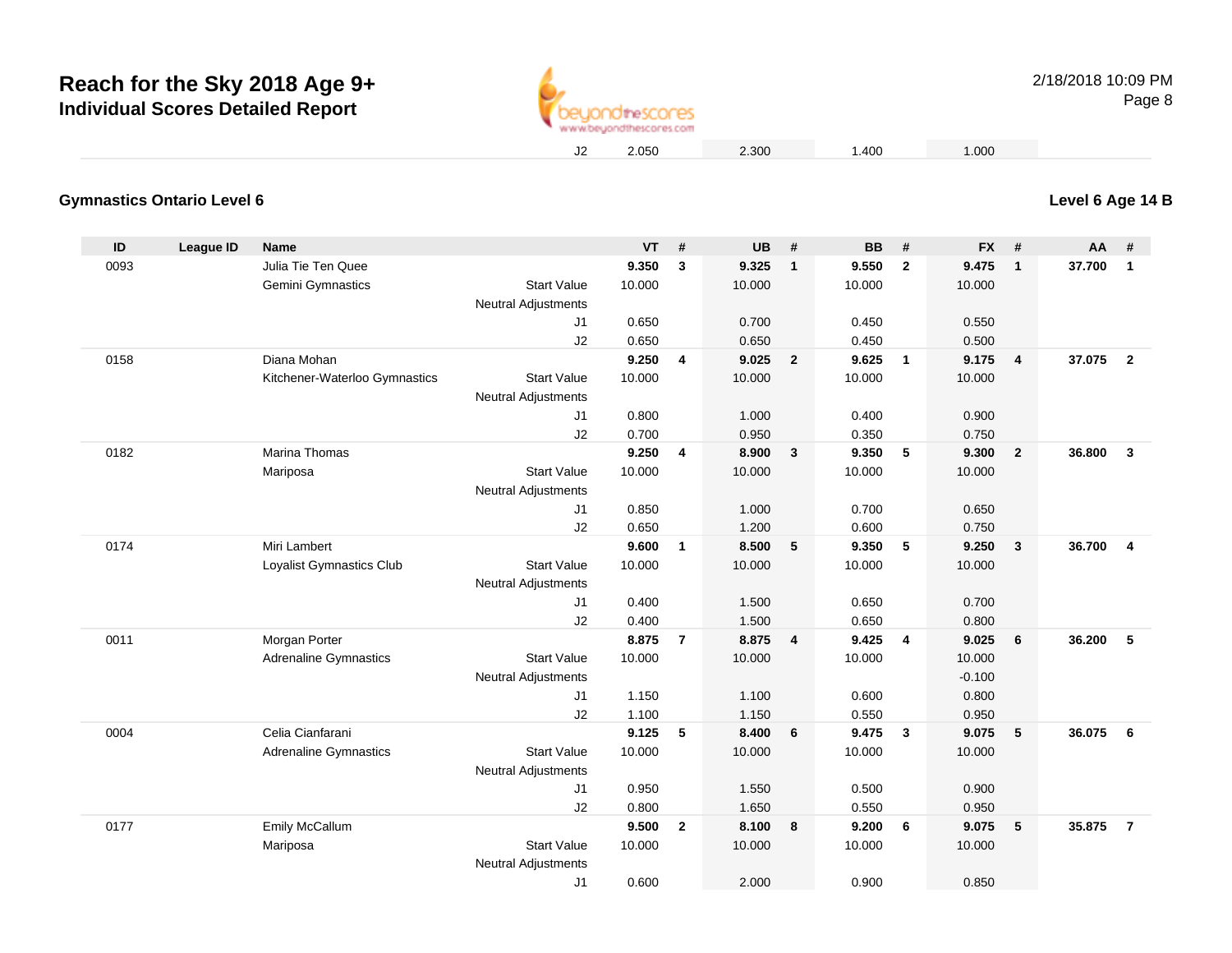

#### **Gymnastics Ontario Level 6**

| ID   | <b>League ID</b> | <b>Name</b>                   |                            | <b>VT</b> | #                       | <b>UB</b> | #                       | <b>BB</b> | #                       | <b>FX</b> | #               | AA     | #                       |
|------|------------------|-------------------------------|----------------------------|-----------|-------------------------|-----------|-------------------------|-----------|-------------------------|-----------|-----------------|--------|-------------------------|
| 0093 |                  | Julia Tie Ten Quee            |                            | 9.350     | 3                       | 9.325     | $\overline{1}$          | 9.550     | $\mathbf{2}$            | 9.475     | $\mathbf{1}$    | 37.700 | $\overline{1}$          |
|      |                  | Gemini Gymnastics             | <b>Start Value</b>         | 10.000    |                         | 10.000    |                         | 10.000    |                         | 10.000    |                 |        |                         |
|      |                  |                               | <b>Neutral Adjustments</b> |           |                         |           |                         |           |                         |           |                 |        |                         |
|      |                  |                               | J <sub>1</sub>             | 0.650     |                         | 0.700     |                         | 0.450     |                         | 0.550     |                 |        |                         |
|      |                  |                               | J2                         | 0.650     |                         | 0.650     |                         | 0.450     |                         | 0.500     |                 |        |                         |
| 0158 |                  | Diana Mohan                   |                            | 9.250     | $\overline{\mathbf{4}}$ | 9.025     | $\overline{2}$          | 9.625     | $\mathbf{1}$            | 9.175     | 4               | 37.075 | $\overline{\mathbf{2}}$ |
|      |                  | Kitchener-Waterloo Gymnastics | <b>Start Value</b>         | 10.000    |                         | 10.000    |                         | 10.000    |                         | 10.000    |                 |        |                         |
|      |                  |                               | <b>Neutral Adjustments</b> |           |                         |           |                         |           |                         |           |                 |        |                         |
|      |                  |                               | J1                         | 0.800     |                         | 1.000     |                         | 0.400     |                         | 0.900     |                 |        |                         |
|      |                  |                               | J2                         | 0.700     |                         | 0.950     |                         | 0.350     |                         | 0.750     |                 |        |                         |
| 0182 |                  | <b>Marina Thomas</b>          |                            | 9.250     | $\overline{\mathbf{4}}$ | 8.900     | $\overline{\mathbf{3}}$ | 9.350     | 5                       | 9.300     | $\overline{2}$  | 36.800 | $\mathbf{3}$            |
|      |                  | Mariposa                      | <b>Start Value</b>         | 10.000    |                         | 10.000    |                         | 10.000    |                         | 10.000    |                 |        |                         |
|      |                  |                               | <b>Neutral Adjustments</b> |           |                         |           |                         |           |                         |           |                 |        |                         |
|      |                  |                               | J1                         | 0.850     |                         | 1.000     |                         | 0.700     |                         | 0.650     |                 |        |                         |
|      |                  |                               | J2                         | 0.650     |                         | 1.200     |                         | 0.600     |                         | 0.750     |                 |        |                         |
| 0174 |                  | Miri Lambert                  |                            | 9.600     | $\mathbf{1}$            | 8.500     | 5                       | 9.350     | 5                       | 9.250     | 3               | 36.700 | $\overline{4}$          |
|      |                  | Loyalist Gymnastics Club      | <b>Start Value</b>         | 10.000    |                         | 10.000    |                         | 10.000    |                         | 10.000    |                 |        |                         |
|      |                  |                               | <b>Neutral Adjustments</b> |           |                         |           |                         |           |                         |           |                 |        |                         |
|      |                  |                               | J1                         | 0.400     |                         | 1.500     |                         | 0.650     |                         | 0.700     |                 |        |                         |
|      |                  |                               | J2                         | 0.400     |                         | 1.500     |                         | 0.650     |                         | 0.800     |                 |        |                         |
| 0011 |                  | Morgan Porter                 |                            | 8.875     | $\overline{7}$          | 8.875     | $\overline{4}$          | 9.425     | $\overline{4}$          | 9.025     | 6               | 36.200 | 5                       |
|      |                  | <b>Adrenaline Gymnastics</b>  | <b>Start Value</b>         | 10.000    |                         | 10.000    |                         | 10.000    |                         | 10.000    |                 |        |                         |
|      |                  |                               | <b>Neutral Adjustments</b> |           |                         |           |                         |           |                         | $-0.100$  |                 |        |                         |
|      |                  |                               | J1                         | 1.150     |                         | 1.100     |                         | 0.600     |                         | 0.800     |                 |        |                         |
|      |                  |                               | J2                         | 1.100     |                         | 1.150     |                         | 0.550     |                         | 0.950     |                 |        |                         |
| 0004 |                  | Celia Cianfarani              |                            | 9.125     | 5                       | 8.400     | 6                       | 9.475     | $\overline{\mathbf{3}}$ | 9.075     | $5\phantom{.0}$ | 36.075 | 6                       |
|      |                  | <b>Adrenaline Gymnastics</b>  | <b>Start Value</b>         | 10.000    |                         | 10.000    |                         | 10.000    |                         | 10.000    |                 |        |                         |
|      |                  |                               | <b>Neutral Adjustments</b> |           |                         |           |                         |           |                         |           |                 |        |                         |
|      |                  |                               | J1                         | 0.950     |                         | 1.550     |                         | 0.500     |                         | 0.900     |                 |        |                         |
|      |                  |                               | J2                         | 0.800     |                         | 1.650     |                         | 0.550     |                         | 0.950     |                 |        |                         |
| 0177 |                  | Emily McCallum                |                            | 9.500     | $\mathbf{2}$            | 8.100     | 8                       | 9.200     | 6                       | 9.075     | 5               | 35,875 | $\overline{7}$          |
|      |                  | Mariposa                      | <b>Start Value</b>         | 10.000    |                         | 10.000    |                         | 10.000    |                         | 10.000    |                 |        |                         |
|      |                  |                               | <b>Neutral Adjustments</b> |           |                         |           |                         |           |                         |           |                 |        |                         |
|      |                  |                               | J1                         | 0.600     |                         | 2.000     |                         | 0.900     |                         | 0.850     |                 |        |                         |

**Level 6 Age 14 B**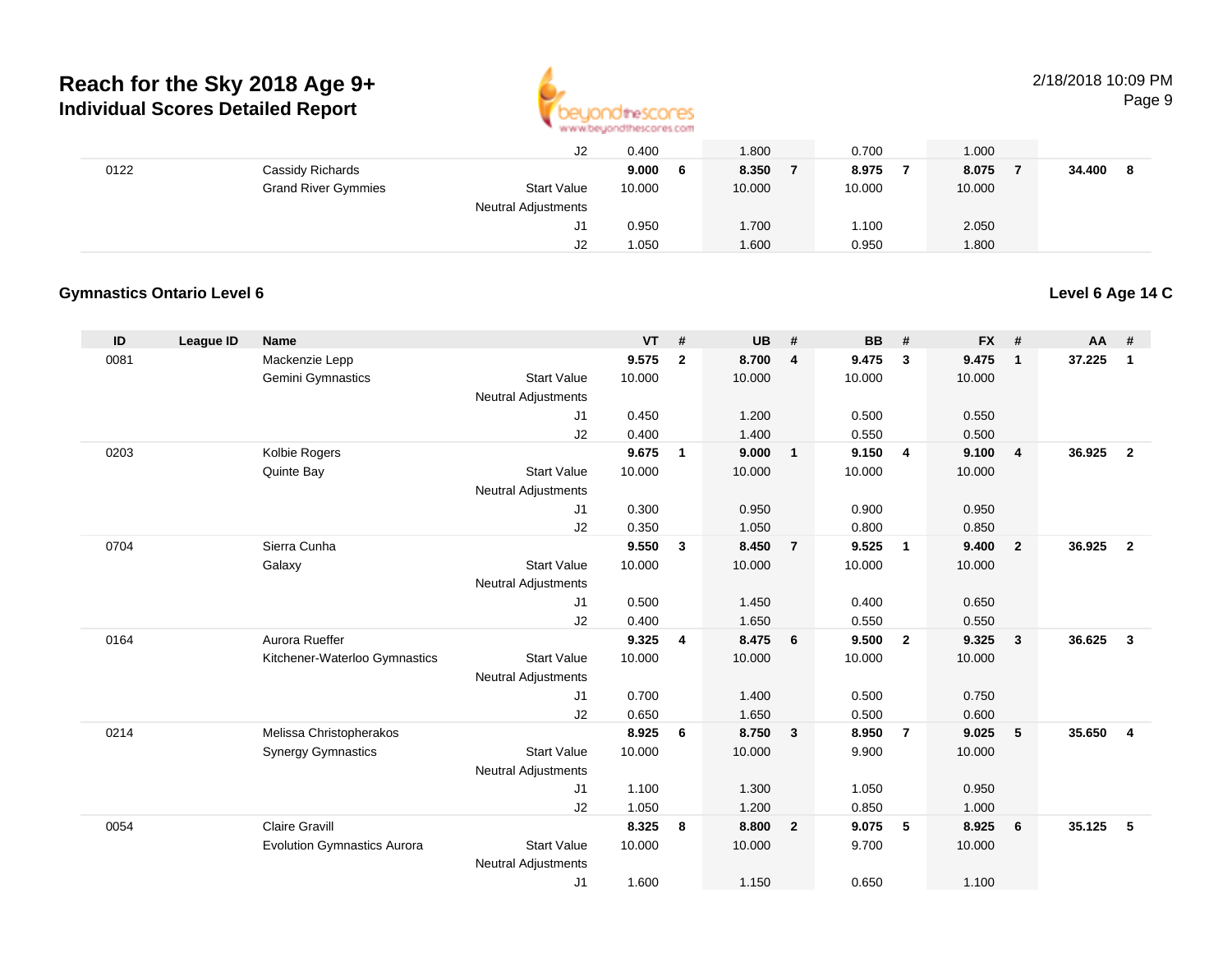

#### 2/18/2018 10:09 PMPage 9

|      |                            | J2                         | 0.400       | 1.800  | 0.700  | 1.000  |        |
|------|----------------------------|----------------------------|-------------|--------|--------|--------|--------|
| 0122 | Cassidy Richards           |                            | 9.000<br>-6 | 8.350  | 8.975  | 8.075  | 34.400 |
|      | <b>Grand River Gymmies</b> | <b>Start Value</b>         | 10.000      | 10.000 | 10.000 | 10.000 |        |
|      |                            | <b>Neutral Adjustments</b> |             |        |        |        |        |
|      |                            | J1                         | 0.950       | 1.700  | 1.100  | 2.050  |        |
|      |                            | J2                         | 1.050       | 1.600  | 0.950  | 1.800  |        |

#### **Gymnastics Ontario Level 6**

**Level 6 Age 14 C**

| ID   | League ID | Name                               |                                  | <b>VT</b>      | #              | <b>UB</b>      | #                       | <b>BB</b>      | #              | <b>FX</b>      | #                       | AA     | #                       |
|------|-----------|------------------------------------|----------------------------------|----------------|----------------|----------------|-------------------------|----------------|----------------|----------------|-------------------------|--------|-------------------------|
| 0081 |           | Mackenzie Lepp                     |                                  | 9.575          | $\overline{2}$ | 8.700          | $\overline{\mathbf{4}}$ | 9.475          | 3              | 9.475          | $\overline{1}$          | 37.225 | $\mathbf{1}$            |
|      |           | Gemini Gymnastics                  | <b>Start Value</b>               | 10.000         |                | 10.000         |                         | 10.000         |                | 10.000         |                         |        |                         |
|      |           |                                    | <b>Neutral Adjustments</b>       |                |                |                |                         |                |                |                |                         |        |                         |
|      |           |                                    | J1                               | 0.450          |                | 1.200          |                         | 0.500          |                | 0.550          |                         |        |                         |
|      |           |                                    | J2                               | 0.400          |                | 1.400          |                         | 0.550          |                | 0.500          |                         |        |                         |
| 0203 |           | Kolbie Rogers                      |                                  | 9.675          | $\mathbf{1}$   | 9.000          | $\mathbf{1}$            | 9.150          | 4              | 9.100          | $\overline{4}$          | 36.925 | $\overline{2}$          |
|      |           | Quinte Bay                         | <b>Start Value</b>               | 10.000         |                | 10.000         |                         | 10.000         |                | 10.000         |                         |        |                         |
|      |           |                                    | <b>Neutral Adjustments</b><br>J1 | 0.300          |                | 0.950          |                         | 0.900          |                | 0.950          |                         |        |                         |
|      |           |                                    | J2                               | 0.350          |                | 1.050          |                         | 0.800          |                | 0.850          |                         |        |                         |
| 0704 |           | Sierra Cunha                       |                                  | 9.550          | 3              | 8.450          | $\overline{7}$          | 9.525          | $\mathbf{1}$   | 9.400          | $\overline{\mathbf{2}}$ | 36.925 | $\overline{2}$          |
|      |           | Galaxy                             | <b>Start Value</b>               | 10.000         |                | 10.000         |                         | 10.000         |                | 10.000         |                         |        |                         |
|      |           |                                    | <b>Neutral Adjustments</b>       |                |                |                |                         |                |                |                |                         |        |                         |
|      |           |                                    | J1                               | 0.500          |                | 1.450          |                         | 0.400          |                | 0.650          |                         |        |                         |
|      |           |                                    | J2                               | 0.400          |                | 1.650          |                         | 0.550          |                | 0.550          |                         |        |                         |
| 0164 |           | Aurora Rueffer                     |                                  | 9.325          | 4              | 8.475          | 6                       | 9.500          | $\mathbf{2}$   | 9.325          | $\overline{\mathbf{3}}$ | 36.625 | $\mathbf{3}$            |
|      |           | Kitchener-Waterloo Gymnastics      | <b>Start Value</b>               | 10.000         |                | 10.000         |                         | 10.000         |                | 10.000         |                         |        |                         |
|      |           |                                    | <b>Neutral Adjustments</b>       |                |                |                |                         |                |                |                |                         |        |                         |
|      |           |                                    | J <sub>1</sub>                   | 0.700          |                | 1.400          |                         | 0.500          |                | 0.750          |                         |        |                         |
|      |           |                                    | J2                               | 0.650          |                | 1.650          |                         | 0.500          |                | 0.600          |                         |        |                         |
| 0214 |           | Melissa Christopherakos            |                                  | 8.925          | 6              | 8.750          | 3                       | 8.950          | $\overline{7}$ | 9.025          | 5                       | 35.650 | $\overline{\mathbf{4}}$ |
|      |           | <b>Synergy Gymnastics</b>          | <b>Start Value</b>               | 10.000         |                | 10.000         |                         | 9.900          |                | 10.000         |                         |        |                         |
|      |           |                                    | <b>Neutral Adjustments</b>       |                |                |                |                         |                |                |                |                         |        |                         |
|      |           |                                    | J <sub>1</sub>                   | 1.100          |                | 1.300          |                         | 1.050          |                | 0.950          |                         |        |                         |
| 0054 |           | <b>Claire Gravill</b>              | J2                               | 1.050<br>8.325 |                | 1.200<br>8.800 |                         | 0.850<br>9.075 | 5              | 1.000<br>8.925 |                         | 35.125 | 5                       |
|      |           | <b>Evolution Gymnastics Aurora</b> | <b>Start Value</b>               | 10.000         | 8              | 10.000         | $\overline{2}$          | 9.700          |                | 10.000         | 6                       |        |                         |
|      |           |                                    | <b>Neutral Adjustments</b>       |                |                |                |                         |                |                |                |                         |        |                         |
|      |           |                                    | J <sub>1</sub>                   | 1.600          |                | 1.150          |                         | 0.650          |                | 1.100          |                         |        |                         |
|      |           |                                    |                                  |                |                |                |                         |                |                |                |                         |        |                         |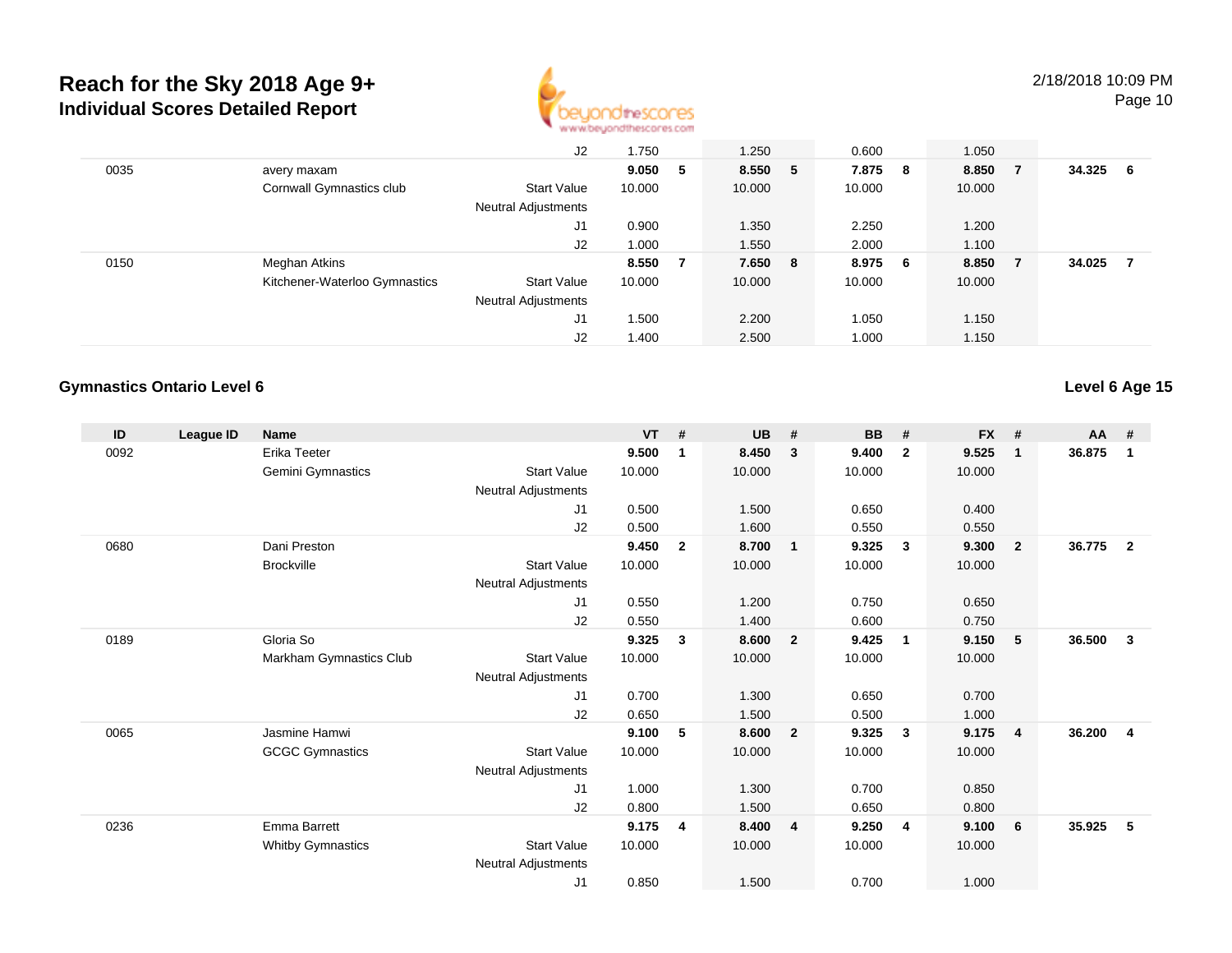

Page 10

|      |                               | J2                         | 1.750  |    | 1.250   |   | 0.600   |     | 1.050  |        |     |
|------|-------------------------------|----------------------------|--------|----|---------|---|---------|-----|--------|--------|-----|
| 0035 | avery maxam                   |                            | 9.050  | -5 | 8.550   | 5 | 7.875   | - 8 | 8.850  | 34.325 | - 6 |
|      | Cornwall Gymnastics club      | Start Value                | 10.000 |    | 10.000  |   | 10.000  |     | 10.000 |        |     |
|      |                               | Neutral Adjustments        |        |    |         |   |         |     |        |        |     |
|      |                               | J1                         | 0.900  |    | 1.350   |   | 2.250   |     | 1.200  |        |     |
|      |                               | J2                         | 1.000  |    | 1.550   |   | 2.000   |     | 1.100  |        |     |
| 0150 | Meghan Atkins                 |                            | 8.550  |    | 7.650 8 |   | 8.975 6 |     | 8.850  | 34.025 |     |
|      | Kitchener-Waterloo Gymnastics | Start Value                | 10.000 |    | 10.000  |   | 10.000  |     | 10.000 |        |     |
|      |                               | <b>Neutral Adjustments</b> |        |    |         |   |         |     |        |        |     |
|      |                               | J1                         | 1.500  |    | 2.200   |   | 1.050   |     | 1.150  |        |     |
|      |                               | J2                         | 1.400  |    | 2.500   |   | 1.000   |     | 1.150  |        |     |

#### **Gymnastics Ontario Level 6**

**Level 6 Age 15**

| ID   | League ID | <b>Name</b>              |                            | <b>VT</b> | #              | <b>UB</b> | #                       | <b>BB</b> | #              | <b>FX</b> | #              | AA #   |                |
|------|-----------|--------------------------|----------------------------|-----------|----------------|-----------|-------------------------|-----------|----------------|-----------|----------------|--------|----------------|
| 0092 |           | Erika Teeter             |                            | 9.500     | $\mathbf 1$    | 8.450     | $\mathbf{3}$            | 9.400     | $\overline{2}$ | 9.525     | $\mathbf{1}$   | 36.875 | 1              |
|      |           | Gemini Gymnastics        | <b>Start Value</b>         | 10.000    |                | 10.000    |                         | 10.000    |                | 10.000    |                |        |                |
|      |           |                          | <b>Neutral Adjustments</b> |           |                |           |                         |           |                |           |                |        |                |
|      |           |                          | J1                         | 0.500     |                | 1.500     |                         | 0.650     |                | 0.400     |                |        |                |
|      |           |                          | J2                         | 0.500     |                | 1.600     |                         | 0.550     |                | 0.550     |                |        |                |
| 0680 |           | Dani Preston             |                            | 9.450     | $\overline{2}$ | 8.700     | $\overline{1}$          | 9.325     | $\mathbf{3}$   | 9.300     | $\overline{2}$ | 36.775 | $\overline{2}$ |
|      |           | <b>Brockville</b>        | <b>Start Value</b>         | 10.000    |                | 10.000    |                         | 10.000    |                | 10.000    |                |        |                |
|      |           |                          | Neutral Adjustments        |           |                |           |                         |           |                |           |                |        |                |
|      |           |                          | J1                         | 0.550     |                | 1.200     |                         | 0.750     |                | 0.650     |                |        |                |
|      |           |                          | J2                         | 0.550     |                | 1.400     |                         | 0.600     |                | 0.750     |                |        |                |
| 0189 |           | Gloria So                |                            | 9.325     | 3              | 8.600     | $\overline{\mathbf{2}}$ | 9.425     | $\mathbf{1}$   | 9.150     | 5              | 36.500 | 3              |
|      |           | Markham Gymnastics Club  | <b>Start Value</b>         | 10.000    |                | 10.000    |                         | 10.000    |                | 10.000    |                |        |                |
|      |           |                          | Neutral Adjustments        |           |                |           |                         |           |                |           |                |        |                |
|      |           |                          | J1                         | 0.700     |                | 1.300     |                         | 0.650     |                | 0.700     |                |        |                |
|      |           |                          | J2                         | 0.650     |                | 1.500     |                         | 0.500     |                | 1.000     |                |        |                |
| 0065 |           | Jasmine Hamwi            |                            | 9.100     | 5              | 8.600     | $\overline{\mathbf{2}}$ | 9.325     | $\mathbf{3}$   | 9.175     | 4              | 36.200 | $\overline{4}$ |
|      |           | <b>GCGC Gymnastics</b>   | <b>Start Value</b>         | 10.000    |                | 10.000    |                         | 10.000    |                | 10.000    |                |        |                |
|      |           |                          | Neutral Adjustments        |           |                |           |                         |           |                |           |                |        |                |
|      |           |                          | J1                         | 1.000     |                | 1.300     |                         | 0.700     |                | 0.850     |                |        |                |
|      |           |                          | J2                         | 0.800     |                | 1.500     |                         | 0.650     |                | 0.800     |                |        |                |
| 0236 |           | Emma Barrett             |                            | 9.175     | 4              | 8.400     | $\overline{4}$          | 9.250     | 4              | 9.100     | 6              | 35.925 | 5              |
|      |           | <b>Whitby Gymnastics</b> | <b>Start Value</b>         | 10.000    |                | 10.000    |                         | 10.000    |                | 10.000    |                |        |                |
|      |           |                          | <b>Neutral Adjustments</b> |           |                |           |                         |           |                |           |                |        |                |
|      |           |                          | J1                         | 0.850     |                | 1.500     |                         | 0.700     |                | 1.000     |                |        |                |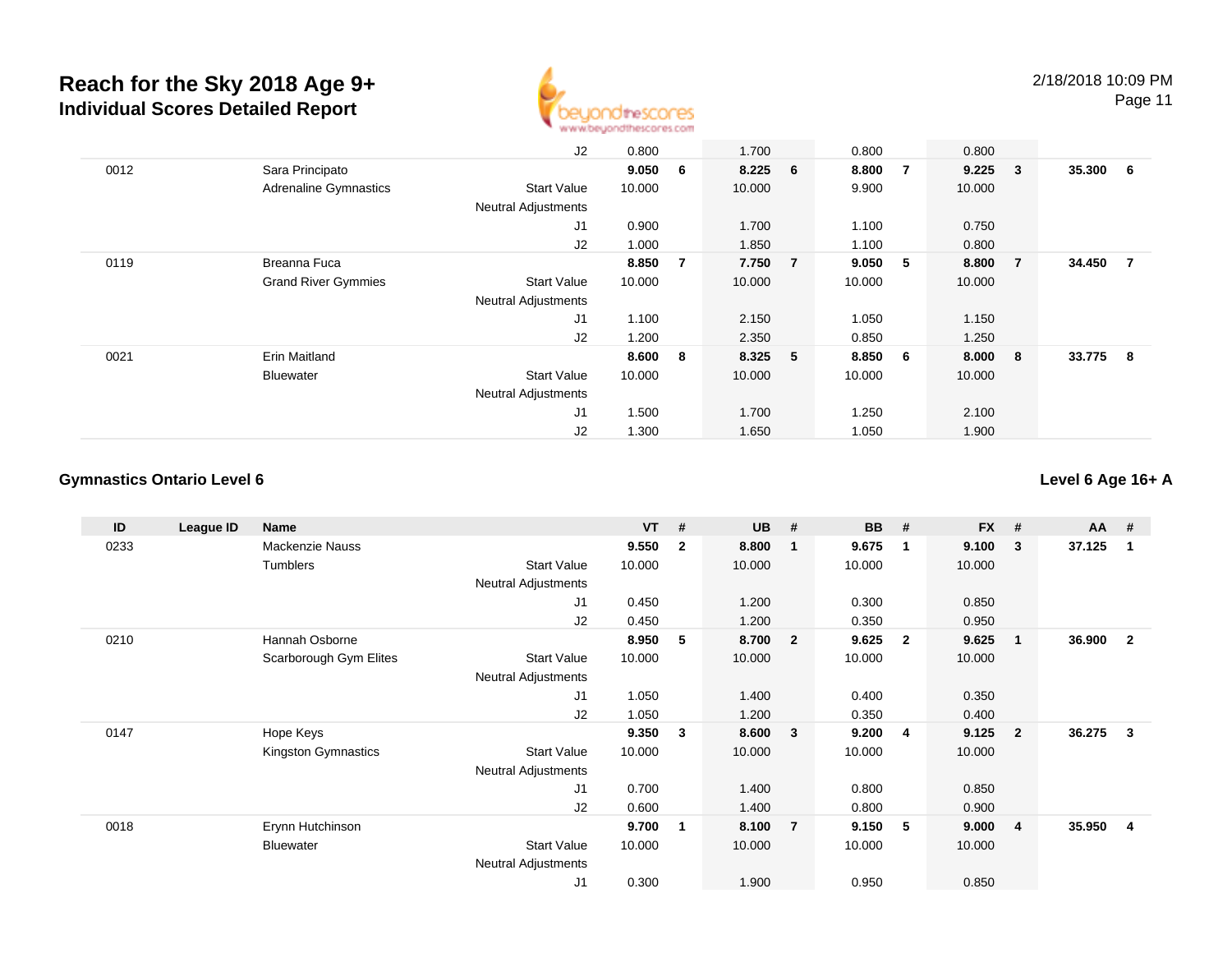

Page 11

|      |                              | J2                         | 0.800  |     | 1.700     |                | 0.800  |                | 0.800       |                |          |                |
|------|------------------------------|----------------------------|--------|-----|-----------|----------------|--------|----------------|-------------|----------------|----------|----------------|
| 0012 | Sara Principato              |                            | 9.050  | 6   | $8.225$ 6 |                | 8.800  | $\overline{7}$ | $9.225 \t3$ |                | 35.300 6 |                |
|      | <b>Adrenaline Gymnastics</b> | <b>Start Value</b>         | 10.000 |     | 10.000    |                | 9.900  |                | 10.000      |                |          |                |
|      |                              | <b>Neutral Adjustments</b> |        |     |           |                |        |                |             |                |          |                |
|      |                              | J <sub>1</sub>             | 0.900  |     | 1.700     |                | 1.100  |                | 0.750       |                |          |                |
|      |                              | J2                         | 1.000  |     | 1.850     |                | 1.100  |                | 0.800       |                |          |                |
| 0119 | Breanna Fuca                 |                            | 8.850  | 7   | 7.750     | $\overline{7}$ | 9.050  | 5              | 8.800       | $\overline{7}$ | 34.450   | $\overline{7}$ |
|      | <b>Grand River Gymmies</b>   | <b>Start Value</b>         | 10.000 |     | 10.000    |                | 10.000 |                | 10.000      |                |          |                |
|      |                              | <b>Neutral Adjustments</b> |        |     |           |                |        |                |             |                |          |                |
|      |                              | J <sub>1</sub>             | 1.100  |     | 2.150     |                | 1.050  |                | 1.150       |                |          |                |
|      |                              | J2                         | 1.200  |     | 2.350     |                | 0.850  |                | 1.250       |                |          |                |
| 0021 | Erin Maitland                |                            | 8.600  | - 8 | 8.325 5   |                | 8.850  | - 6            | 8.000 8     |                | 33.775 8 |                |
|      | <b>Bluewater</b>             | <b>Start Value</b>         | 10.000 |     | 10.000    |                | 10.000 |                | 10.000      |                |          |                |
|      |                              | <b>Neutral Adjustments</b> |        |     |           |                |        |                |             |                |          |                |
|      |                              | J1                         | 1.500  |     | 1.700     |                | 1.250  |                | 2.100       |                |          |                |
|      |                              | J2                         | 1.300  |     | 1.650     |                | 1.050  |                | 1.900       |                |          |                |

#### **Gymnastics Ontario Level 6**

**Level 6 Age 16+ A**

| ID   | League ID | Name                   |                            | <b>VT</b> | #              | <b>UB</b> | #                       | <b>BB</b> | #              | <b>FX</b> | #              | $AA$ # |                |
|------|-----------|------------------------|----------------------------|-----------|----------------|-----------|-------------------------|-----------|----------------|-----------|----------------|--------|----------------|
| 0233 |           | Mackenzie Nauss        |                            | 9.550     | $\overline{2}$ | 8.800     | $\overline{\mathbf{1}}$ | 9.675     | $\overline{1}$ | 9.100     | 3              | 37.125 | -1             |
|      |           | Tumblers               | <b>Start Value</b>         | 10.000    |                | 10.000    |                         | 10.000    |                | 10.000    |                |        |                |
|      |           |                        | <b>Neutral Adjustments</b> |           |                |           |                         |           |                |           |                |        |                |
|      |           |                        | J1                         | 0.450     |                | 1.200     |                         | 0.300     |                | 0.850     |                |        |                |
|      |           |                        | J2                         | 0.450     |                | 1.200     |                         | 0.350     |                | 0.950     |                |        |                |
| 0210 |           | Hannah Osborne         |                            | 8.950     | 5              | 8.700     | $\overline{\mathbf{2}}$ | 9.625     | $\overline{2}$ | 9.625     | $\mathbf 1$    | 36.900 | $\overline{2}$ |
|      |           | Scarborough Gym Elites | <b>Start Value</b>         | 10.000    |                | 10.000    |                         | 10.000    |                | 10.000    |                |        |                |
|      |           |                        | Neutral Adjustments        |           |                |           |                         |           |                |           |                |        |                |
|      |           |                        | J1                         | 1.050     |                | 1.400     |                         | 0.400     |                | 0.350     |                |        |                |
|      |           |                        | J2                         | 1.050     |                | 1.200     |                         | 0.350     |                | 0.400     |                |        |                |
| 0147 |           | Hope Keys              |                            | 9.350     | $\mathbf{3}$   | 8.600     | $\overline{\mathbf{3}}$ | 9.200     | $\overline{4}$ | 9.125     | $\overline{2}$ | 36.275 | $\mathbf{3}$   |
|      |           | Kingston Gymnastics    | <b>Start Value</b>         | 10.000    |                | 10.000    |                         | 10.000    |                | 10.000    |                |        |                |
|      |           |                        | <b>Neutral Adjustments</b> |           |                |           |                         |           |                |           |                |        |                |
|      |           |                        | J <sub>1</sub>             | 0.700     |                | 1.400     |                         | 0.800     |                | 0.850     |                |        |                |
|      |           |                        | J <sub>2</sub>             | 0.600     |                | 1.400     |                         | 0.800     |                | 0.900     |                |        |                |
| 0018 |           | Erynn Hutchinson       |                            | 9.700     | $\blacksquare$ | 8.100     | $\overline{7}$          | 9.150     | 5              | 9.000     | 4              | 35.950 | 4              |
|      |           | Bluewater              | <b>Start Value</b>         | 10.000    |                | 10.000    |                         | 10.000    |                | 10.000    |                |        |                |
|      |           |                        | Neutral Adjustments        |           |                |           |                         |           |                |           |                |        |                |
|      |           |                        | J <sub>1</sub>             | 0.300     |                | 1.900     |                         | 0.950     |                | 0.850     |                |        |                |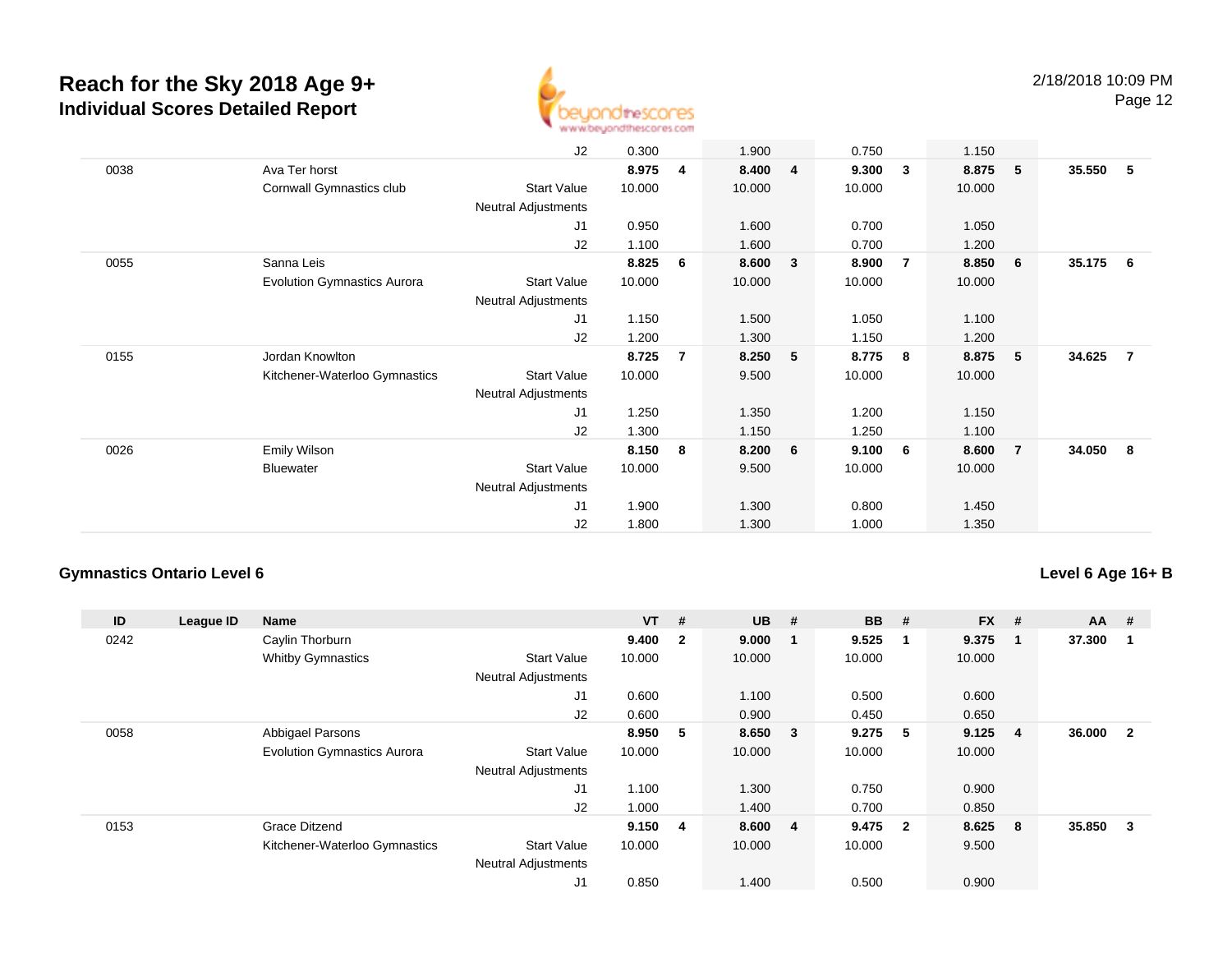

|      |                                    | J2                         | 0.300  |   | 1.900  |   | 0.750  |                | 1.150  |                |        |     |
|------|------------------------------------|----------------------------|--------|---|--------|---|--------|----------------|--------|----------------|--------|-----|
| 0038 | Ava Ter horst                      |                            | 8.975  | 4 | 8.400  | 4 | 9.300  | $\mathbf{3}$   | 8.875  | 5 <sub>o</sub> | 35.550 | - 5 |
|      | Cornwall Gymnastics club           | <b>Start Value</b>         | 10.000 |   | 10.000 |   | 10.000 |                | 10.000 |                |        |     |
|      |                                    | <b>Neutral Adjustments</b> |        |   |        |   |        |                |        |                |        |     |
|      |                                    | J1                         | 0.950  |   | 1.600  |   | 0.700  |                | 1.050  |                |        |     |
|      |                                    | J2                         | 1.100  |   | 1.600  |   | 0.700  |                | 1.200  |                |        |     |
| 0055 | Sanna Leis                         |                            | 8.825  | 6 | 8.600  | 3 | 8.900  | $\overline{7}$ | 8.850  | 6              | 35.175 | - 6 |
|      | <b>Evolution Gymnastics Aurora</b> | <b>Start Value</b>         | 10.000 |   | 10.000 |   | 10.000 |                | 10.000 |                |        |     |
|      |                                    | Neutral Adjustments        |        |   |        |   |        |                |        |                |        |     |
|      |                                    | J1                         | 1.150  |   | 1.500  |   | 1.050  |                | 1.100  |                |        |     |
|      |                                    | J2                         | 1.200  |   | 1.300  |   | 1.150  |                | 1.200  |                |        |     |
| 0155 | Jordan Knowlton                    |                            | 8.725  | 7 | 8.250  | 5 | 8.775  | - 8            | 8.875  | 5              | 34.625 | -7  |
|      | Kitchener-Waterloo Gymnastics      | <b>Start Value</b>         | 10.000 |   | 9.500  |   | 10.000 |                | 10.000 |                |        |     |
|      |                                    | Neutral Adjustments        |        |   |        |   |        |                |        |                |        |     |
|      |                                    | J1                         | 1.250  |   | 1.350  |   | 1.200  |                | 1.150  |                |        |     |
|      |                                    | J2                         | 1.300  |   | 1.150  |   | 1.250  |                | 1.100  |                |        |     |
| 0026 | Emily Wilson                       |                            | 8.150  | 8 | 8.200  | 6 | 9.100  | - 6            | 8.600  | $\overline{7}$ | 34.050 | - 8 |
|      | <b>Bluewater</b>                   | <b>Start Value</b>         | 10.000 |   | 9.500  |   | 10.000 |                | 10.000 |                |        |     |
|      |                                    | Neutral Adjustments        |        |   |        |   |        |                |        |                |        |     |
|      |                                    | J1                         | 1.900  |   | 1.300  |   | 0.800  |                | 1.450  |                |        |     |
|      |                                    | J2                         | 1.800  |   | 1.300  |   | 1.000  |                | 1.350  |                |        |     |
|      |                                    |                            |        |   |        |   |        |                |        |                |        |     |

#### **Gymnastics Ontario Level 6**

#### **Level 6 Age 16+ B**

| ID   | League ID | Name                               |                            | $VT$ #  |                | <b>UB</b> | #                       | <b>BB</b> | #                       | <b>FX</b> | #              | $AA$ # |              |
|------|-----------|------------------------------------|----------------------------|---------|----------------|-----------|-------------------------|-----------|-------------------------|-----------|----------------|--------|--------------|
| 0242 |           | Caylin Thorburn                    |                            | 9.400   | $\overline{2}$ | 9.000     | -1                      | 9.525     | -1                      | 9.375     | -1             | 37.300 |              |
|      |           | <b>Whitby Gymnastics</b>           | <b>Start Value</b>         | 10.000  |                | 10.000    |                         | 10.000    |                         | 10.000    |                |        |              |
|      |           |                                    | <b>Neutral Adjustments</b> |         |                |           |                         |           |                         |           |                |        |              |
|      |           |                                    | J1                         | 0.600   |                | 1.100     |                         | 0.500     |                         | 0.600     |                |        |              |
|      |           |                                    | J2                         | 0.600   |                | 0.900     |                         | 0.450     |                         | 0.650     |                |        |              |
| 0058 |           | Abbigael Parsons                   |                            | 8.950   | 5              | 8.650     | $\overline{\mathbf{3}}$ | 9.275     | - 5                     | 9.125     | $\overline{4}$ | 36.000 | $\mathbf{2}$ |
|      |           | <b>Evolution Gymnastics Aurora</b> | <b>Start Value</b>         | 10.000  |                | 10.000    |                         | 10.000    |                         | 10.000    |                |        |              |
|      |           |                                    | <b>Neutral Adjustments</b> |         |                |           |                         |           |                         |           |                |        |              |
|      |           |                                    | J <sub>1</sub>             | 1.100   |                | 1.300     |                         | 0.750     |                         | 0.900     |                |        |              |
|      |           |                                    | J2                         | 1.000   |                | 1.400     |                         | 0.700     |                         | 0.850     |                |        |              |
| 0153 |           | <b>Grace Ditzend</b>               |                            | 9.150 4 |                | 8.600 4   |                         | 9.475     | $\overline{\mathbf{2}}$ | 8.625     | 8              | 35.850 | 3            |
|      |           | Kitchener-Waterloo Gymnastics      | <b>Start Value</b>         | 10.000  |                | 10.000    |                         | 10.000    |                         | 9.500     |                |        |              |
|      |           |                                    | <b>Neutral Adjustments</b> |         |                |           |                         |           |                         |           |                |        |              |
|      |           |                                    | J1                         | 0.850   |                | 1.400     |                         | 0.500     |                         | 0.900     |                |        |              |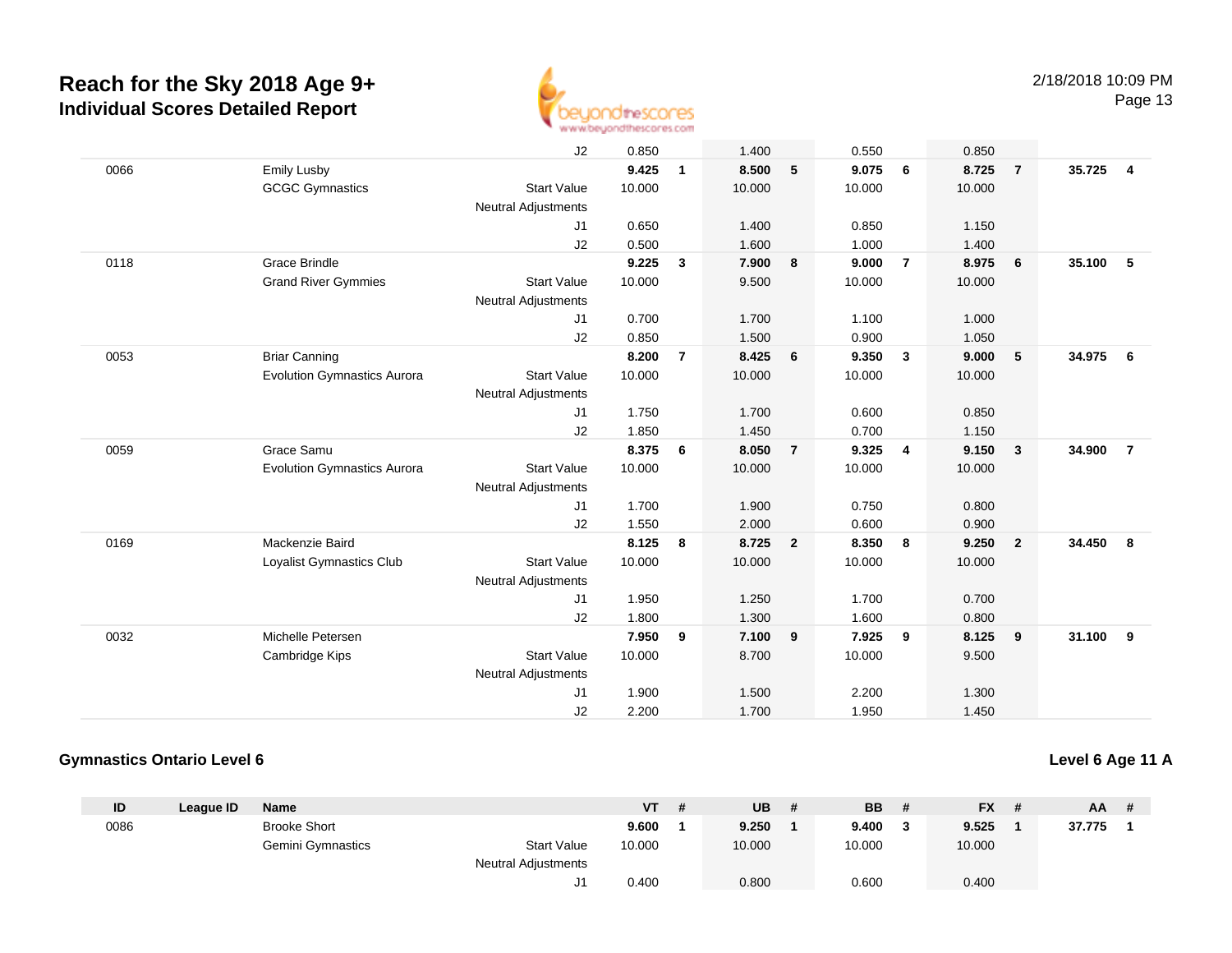

Page 13

|      |                                    | J2                         | 0.850  |                | 1.400  |                | 0.550  |                | 0.850  |                         |        |                |
|------|------------------------------------|----------------------------|--------|----------------|--------|----------------|--------|----------------|--------|-------------------------|--------|----------------|
| 0066 | <b>Emily Lusby</b>                 |                            | 9.425  | $\mathbf{1}$   | 8.500  | 5              | 9.075  | 6              | 8.725  | $\overline{7}$          | 35.725 | 4              |
|      | <b>GCGC Gymnastics</b>             | <b>Start Value</b>         | 10.000 |                | 10.000 |                | 10.000 |                | 10.000 |                         |        |                |
|      |                                    | <b>Neutral Adjustments</b> |        |                |        |                |        |                |        |                         |        |                |
|      |                                    | J1                         | 0.650  |                | 1.400  |                | 0.850  |                | 1.150  |                         |        |                |
|      |                                    | J2                         | 0.500  |                | 1.600  |                | 1.000  |                | 1.400  |                         |        |                |
| 0118 | <b>Grace Brindle</b>               |                            | 9.225  | $\mathbf{3}$   | 7.900  | 8              | 9.000  | $\overline{7}$ | 8.975  | 6                       | 35.100 | 5              |
|      | <b>Grand River Gymmies</b>         | <b>Start Value</b>         | 10.000 |                | 9.500  |                | 10.000 |                | 10.000 |                         |        |                |
|      |                                    | <b>Neutral Adjustments</b> |        |                |        |                |        |                |        |                         |        |                |
|      |                                    | J1                         | 0.700  |                | 1.700  |                | 1.100  |                | 1.000  |                         |        |                |
|      |                                    | J2                         | 0.850  |                | 1.500  |                | 0.900  |                | 1.050  |                         |        |                |
| 0053 | <b>Briar Canning</b>               |                            | 8.200  | $\overline{7}$ | 8.425  | 6              | 9.350  | $\mathbf{3}$   | 9.000  | 5                       | 34.975 | - 6            |
|      | <b>Evolution Gymnastics Aurora</b> | <b>Start Value</b>         | 10.000 |                | 10.000 |                | 10.000 |                | 10.000 |                         |        |                |
|      |                                    | <b>Neutral Adjustments</b> |        |                |        |                |        |                |        |                         |        |                |
|      |                                    | J1                         | 1.750  |                | 1.700  |                | 0.600  |                | 0.850  |                         |        |                |
|      |                                    | J2                         | 1.850  |                | 1.450  |                | 0.700  |                | 1.150  |                         |        |                |
| 0059 | Grace Samu                         |                            | 8.375  | 6              | 8.050  | $\overline{7}$ | 9.325  | $\overline{4}$ | 9.150  | $\overline{\mathbf{3}}$ | 34.900 | $\overline{7}$ |
|      | <b>Evolution Gymnastics Aurora</b> | <b>Start Value</b>         | 10.000 |                | 10.000 |                | 10.000 |                | 10.000 |                         |        |                |
|      |                                    | <b>Neutral Adjustments</b> |        |                |        |                |        |                |        |                         |        |                |
|      |                                    | J1                         | 1.700  |                | 1.900  |                | 0.750  |                | 0.800  |                         |        |                |
|      |                                    | J2                         | 1.550  |                | 2.000  |                | 0.600  |                | 0.900  |                         |        |                |
| 0169 | Mackenzie Baird                    |                            | 8.125  | 8              | 8.725  | $\overline{2}$ | 8.350  | 8              | 9.250  | $\overline{\mathbf{2}}$ | 34.450 | 8              |
|      | Loyalist Gymnastics Club           | <b>Start Value</b>         | 10.000 |                | 10.000 |                | 10.000 |                | 10.000 |                         |        |                |
|      |                                    | <b>Neutral Adjustments</b> |        |                |        |                |        |                |        |                         |        |                |
|      |                                    | J1                         | 1.950  |                | 1.250  |                | 1.700  |                | 0.700  |                         |        |                |
|      |                                    | J2                         | 1.800  |                | 1.300  |                | 1.600  |                | 0.800  |                         |        |                |
| 0032 | Michelle Petersen                  |                            | 7.950  | 9              | 7.100  | 9              | 7.925  | 9              | 8.125  | 9                       | 31.100 | 9              |
|      | Cambridge Kips                     | <b>Start Value</b>         | 10.000 |                | 8.700  |                | 10.000 |                | 9.500  |                         |        |                |
|      |                                    | <b>Neutral Adjustments</b> |        |                |        |                |        |                |        |                         |        |                |
|      |                                    | J1                         | 1.900  |                | 1.500  |                | 2.200  |                | 1.300  |                         |        |                |
|      |                                    | J2                         | 2.200  |                | 1.700  |                | 1.950  |                | 1.450  |                         |        |                |

#### **Gymnastics Ontario Level 6**

#### **Level 6 Age 11 A**

| ID   | League ID | <b>Name</b>         |                     | <b>VT</b> | -# | <b>UB</b> | <b>BB</b> | # | <b>FX</b> | AA     | $\frac{1}{2}$ |
|------|-----------|---------------------|---------------------|-----------|----|-----------|-----------|---|-----------|--------|---------------|
| 0086 |           | <b>Brooke Short</b> |                     | 9.600     |    | 9.250     | 9.400     | 3 | 9.525     | 37.775 |               |
|      |           | Gemini Gymnastics   | <b>Start Value</b>  | 10.000    |    | 10.000    | 10.000    |   | 10.000    |        |               |
|      |           |                     | Neutral Adjustments |           |    |           |           |   |           |        |               |
|      |           |                     |                     | 0.400     |    | 0.800     | 0.600     |   | 0.400     |        |               |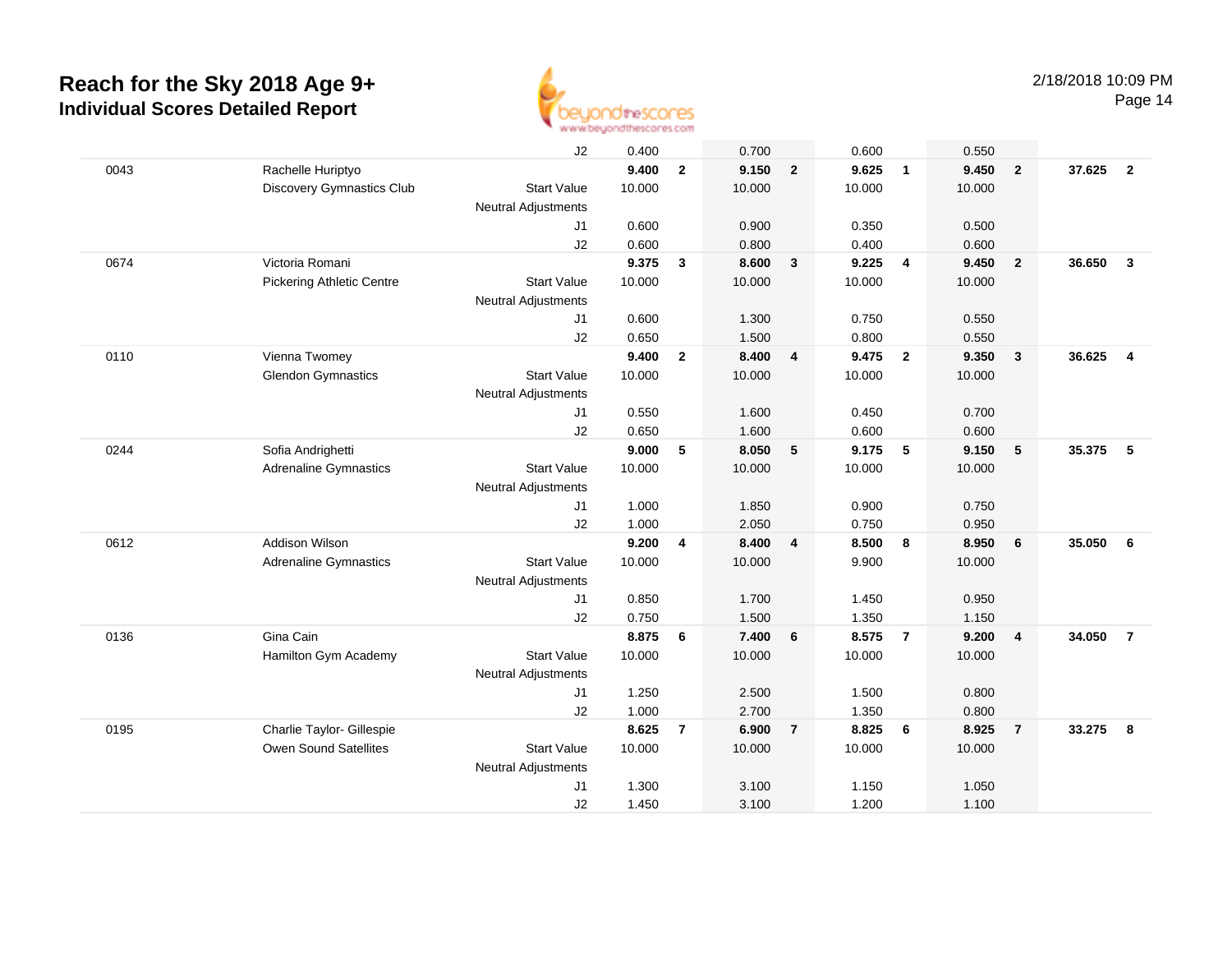

Page 14

|      |                                  | J2                         | 0.400          |                | 0.700          |                | 0.600          |                | 0.550          |                         |        |                         |
|------|----------------------------------|----------------------------|----------------|----------------|----------------|----------------|----------------|----------------|----------------|-------------------------|--------|-------------------------|
| 0043 | Rachelle Huriptyo                |                            | 9.400          | $\overline{2}$ | 9.150          | $\overline{2}$ | 9.625          | $\overline{1}$ | 9.450          | $\overline{2}$          | 37.625 | $\overline{2}$          |
|      | Discovery Gymnastics Club        | <b>Start Value</b>         | 10.000         |                | 10.000         |                | 10.000         |                | 10.000         |                         |        |                         |
|      |                                  | <b>Neutral Adjustments</b> |                |                |                |                |                |                |                |                         |        |                         |
|      |                                  | J <sub>1</sub>             | 0.600          |                | 0.900          |                | 0.350          |                | 0.500          |                         |        |                         |
|      |                                  | J2                         | 0.600          |                | 0.800          |                | 0.400          |                | 0.600          |                         |        |                         |
| 0674 | Victoria Romani                  |                            | 9.375          | $\mathbf{3}$   | 8.600          | 3              | 9.225          | 4              | 9.450          | $\overline{\mathbf{2}}$ | 36.650 | $\overline{\mathbf{3}}$ |
|      | <b>Pickering Athletic Centre</b> | <b>Start Value</b>         | 10.000         |                | 10.000         |                | 10.000         |                | 10.000         |                         |        |                         |
|      |                                  | <b>Neutral Adjustments</b> |                |                |                |                |                |                |                |                         |        |                         |
|      |                                  | J <sub>1</sub>             | 0.600          |                | 1.300          |                | 0.750          |                | 0.550          |                         |        |                         |
|      |                                  | J <sub>2</sub>             | 0.650          |                | 1.500          |                | 0.800          |                | 0.550          |                         |        |                         |
| 0110 | Vienna Twomey                    |                            | 9.400          | $\overline{2}$ | 8.400          | 4              | 9.475          | $\overline{2}$ | 9.350          | $\overline{\mathbf{3}}$ | 36.625 | $\overline{4}$          |
|      | <b>Glendon Gymnastics</b>        | <b>Start Value</b>         | 10.000         |                | 10.000         |                | 10.000         |                | 10.000         |                         |        |                         |
|      |                                  | <b>Neutral Adjustments</b> |                |                |                |                |                |                |                |                         |        |                         |
|      |                                  | J1                         | 0.550          |                | 1.600          |                | 0.450          |                | 0.700          |                         |        |                         |
| 0244 | Sofia Andrighetti                | J2                         | 0.650<br>9.000 | 5              | 1.600<br>8.050 | 5              | 0.600<br>9.175 | 5              | 0.600<br>9.150 | $5\phantom{.0}$         | 35.375 | - 5                     |
|      | <b>Adrenaline Gymnastics</b>     | <b>Start Value</b>         | 10.000         |                | 10.000         |                | 10.000         |                | 10.000         |                         |        |                         |
|      |                                  | <b>Neutral Adjustments</b> |                |                |                |                |                |                |                |                         |        |                         |
|      |                                  | J <sub>1</sub>             | 1.000          |                | 1.850          |                | 0.900          |                | 0.750          |                         |        |                         |
|      |                                  | J2                         | 1.000          |                | 2.050          |                | 0.750          |                | 0.950          |                         |        |                         |
| 0612 | <b>Addison Wilson</b>            |                            | 9.200          | 4              | 8.400          | 4              | 8.500          | 8              | 8.950          | $6\phantom{1}6$         | 35.050 | 6                       |
|      | <b>Adrenaline Gymnastics</b>     | <b>Start Value</b>         | 10.000         |                | 10.000         |                | 9.900          |                | 10.000         |                         |        |                         |
|      |                                  | <b>Neutral Adjustments</b> |                |                |                |                |                |                |                |                         |        |                         |
|      |                                  | J <sub>1</sub>             | 0.850          |                | 1.700          |                | 1.450          |                | 0.950          |                         |        |                         |
|      |                                  | J2                         | 0.750          |                | 1.500          |                | 1.350          |                | 1.150          |                         |        |                         |
| 0136 | Gina Cain                        |                            | 8.875          | 6              | 7.400          | 6              | 8.575          | $\overline{7}$ | 9.200          | $\overline{4}$          | 34.050 | $\overline{7}$          |
|      | Hamilton Gym Academy             | <b>Start Value</b>         | 10.000         |                | 10.000         |                | 10.000         |                | 10.000         |                         |        |                         |
|      |                                  | <b>Neutral Adjustments</b> |                |                |                |                |                |                |                |                         |        |                         |
|      |                                  | J1                         | 1.250          |                | 2.500          |                | 1.500          |                | 0.800          |                         |        |                         |
|      |                                  | J2                         | 1.000          |                | 2.700          |                | 1.350          |                | 0.800          |                         |        |                         |
| 0195 | Charlie Taylor- Gillespie        |                            | 8.625          | $\overline{7}$ | 6.900          | $\overline{7}$ | 8.825          | 6              | 8.925          | $\overline{7}$          | 33.275 | -8                      |
|      | <b>Owen Sound Satellites</b>     | <b>Start Value</b>         | 10.000         |                | 10.000         |                | 10.000         |                | 10.000         |                         |        |                         |
|      |                                  | <b>Neutral Adjustments</b> |                |                |                |                |                |                |                |                         |        |                         |
|      |                                  | J <sub>1</sub>             | 1.300          |                | 3.100          |                | 1.150          |                | 1.050          |                         |        |                         |
|      |                                  | J2                         | 1.450          |                | 3.100          |                | 1.200          |                | 1.100          |                         |        |                         |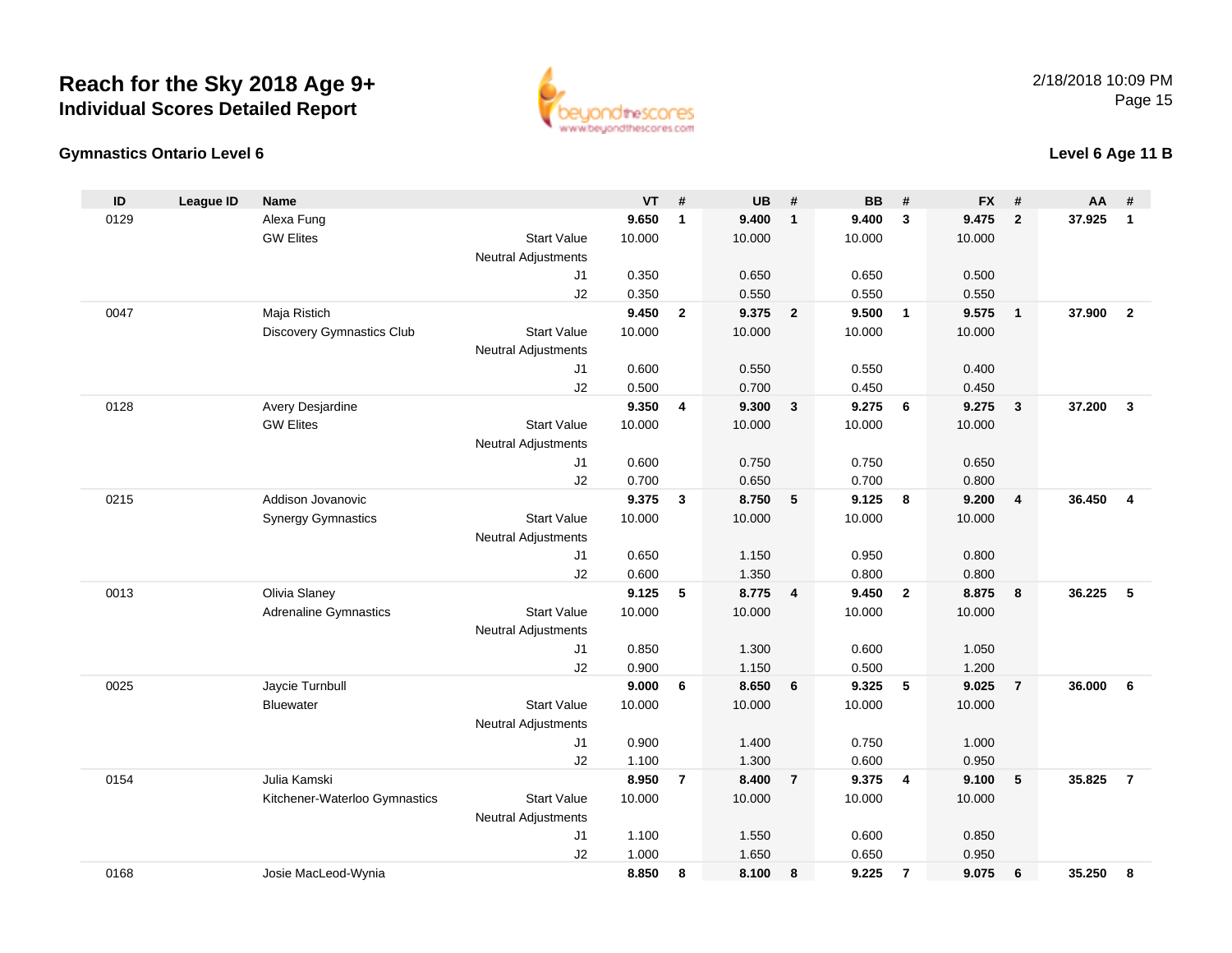#### **Gymnastics Ontario Level 6Level 6 Age 11 B**

**ID**

0129

0047

0128

0215

0013

0025

0154

**Bluewater** 

Kitchener-Waterloo Gymnastics

| 9 | Alexa Fung                   |                            | 9.650  | 1            | 9.400  | -1                      | 9.400  | -3             | 9.475  | 2              | 37.925 | -1 |
|---|------------------------------|----------------------------|--------|--------------|--------|-------------------------|--------|----------------|--------|----------------|--------|----|
|   | <b>GW Elites</b>             | <b>Start Value</b>         | 10.000 |              | 10.000 |                         | 10.000 |                | 10.000 |                |        |    |
|   |                              | Neutral Adjustments        |        |              |        |                         |        |                |        |                |        |    |
|   |                              | J1                         | 0.350  |              | 0.650  |                         | 0.650  |                | 0.500  |                |        |    |
|   |                              | J <sub>2</sub>             | 0.350  |              | 0.550  |                         | 0.550  |                | 0.550  |                |        |    |
|   | Maja Ristich                 |                            | 9.450  | $\mathbf{2}$ | 9.375  | $\overline{2}$          | 9.500  | $\mathbf{1}$   | 9.575  | $\mathbf{1}$   | 37.900 |    |
|   | Discovery Gymnastics Club    | <b>Start Value</b>         | 10.000 |              | 10.000 |                         | 10.000 |                | 10.000 |                |        |    |
|   |                              | Neutral Adjustments        |        |              |        |                         |        |                |        |                |        |    |
|   |                              | J <sub>1</sub>             | 0.600  |              | 0.550  |                         | 0.550  |                | 0.400  |                |        |    |
|   |                              | J <sub>2</sub>             | 0.500  |              | 0.700  |                         | 0.450  |                | 0.450  |                |        |    |
| 8 | Avery Desjardine             |                            | 9.350  | 4            | 9.300  | 3                       | 9.275  | 6              | 9.275  | 3              | 37.200 | 3  |
|   | <b>GW Elites</b>             | <b>Start Value</b>         | 10.000 |              | 10.000 |                         | 10.000 |                | 10.000 |                |        |    |
|   |                              | Neutral Adjustments        |        |              |        |                         |        |                |        |                |        |    |
|   |                              | J <sub>1</sub>             | 0.600  |              | 0.750  |                         | 0.750  |                | 0.650  |                |        |    |
|   |                              | J2                         | 0.700  |              | 0.650  |                         | 0.700  |                | 0.800  |                |        |    |
| 5 | Addison Jovanovic            |                            | 9.375  | 3            | 8.750  | 5                       | 9.125  | 8              | 9.200  | 4              | 36.450 |    |
|   | <b>Synergy Gymnastics</b>    | <b>Start Value</b>         | 10.000 |              | 10.000 |                         | 10.000 |                | 10.000 |                |        |    |
|   |                              | Neutral Adjustments        |        |              |        |                         |        |                |        |                |        |    |
|   |                              | J1                         | 0.650  |              | 1.150  |                         | 0.950  |                | 0.800  |                |        |    |
|   |                              | J <sub>2</sub>             | 0.600  |              | 1.350  |                         | 0.800  |                | 0.800  |                |        |    |
| 3 | Olivia Slaney                |                            | 9.125  | 5            | 8.775  | $\overline{\mathbf{4}}$ | 9.450  | $\overline{2}$ | 8.875  | 8              | 36.225 | 5  |
|   | <b>Adrenaline Gymnastics</b> | <b>Start Value</b>         | 10.000 |              | 10.000 |                         | 10.000 |                | 10.000 |                |        |    |
|   |                              | <b>Neutral Adjustments</b> |        |              |        |                         |        |                |        |                |        |    |
|   |                              | J <sub>1</sub>             | 0.850  |              | 1.300  |                         | 0.600  |                | 1.050  |                |        |    |
|   |                              | J <sub>2</sub>             | 0.900  |              | 1.150  |                         | 0.500  |                | 1.200  |                |        |    |
| 5 | Jaycie Turnbull              |                            | 9.000  | 6            | 8.650  | 6                       | 9.325  | 5              | 9.025  | $\overline{7}$ | 36.000 | 6  |
|   |                              |                            |        |              |        |                         |        |                |        |                |        |    |

e 10.000 10.000 10.000 10.000

0.900 1.400 0.750 1.000

1.100 1.300 0.600 0.950

e 10.000 10.000 10.000 10.000

1.100 1.550 0.600 0.850

1.000 1.650 0.650 0.950

Start Value

Start Value

J1

J2

J1

J2

Julia Kamski **8.950 <sup>7</sup> 8.400 <sup>7</sup> 9.375 <sup>4</sup> 9.100 <sup>5</sup> 35.825 <sup>7</sup>**

Neutral Adjustments

Neutral Adjustments



**League ID Name VT # UB # BB # FX # AA #**

0168Josie MacLeod-Wynia **8.850 <sup>8</sup> 8.100 <sup>8</sup> 9.225 <sup>7</sup> 9.075 <sup>6</sup> 35.250 <sup>8</sup>**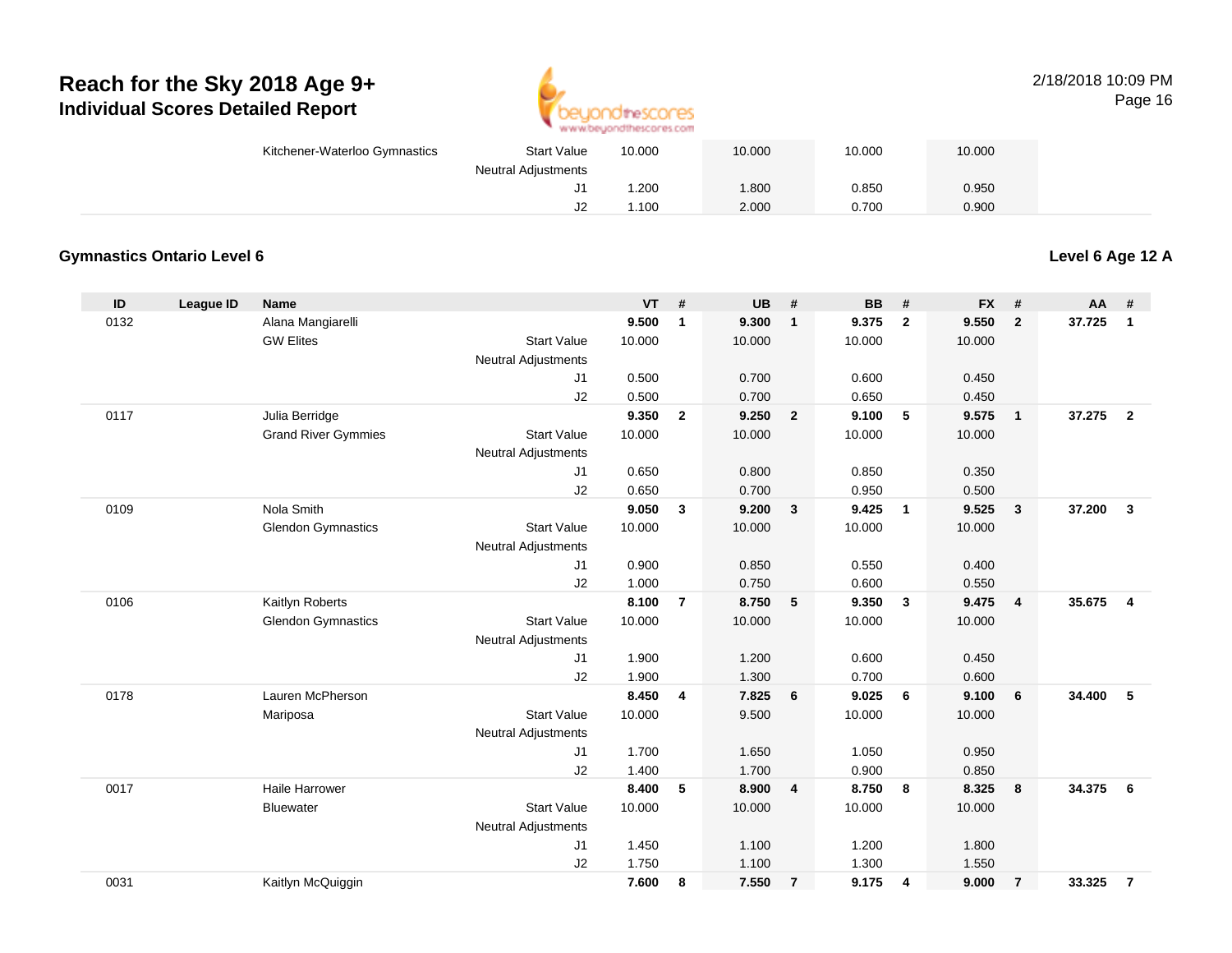

#### 2/18/2018 10:09 PMPage 16

| Kitchener-Waterloo Gymnastics | <b>Start Value</b>         | 10.000 | 10.000 | 10.000 | 10.000 |  |
|-------------------------------|----------------------------|--------|--------|--------|--------|--|
|                               | <b>Neutral Adjustments</b> |        |        |        |        |  |
|                               | J1                         | .200   | .800   | 0.850  | 0.950  |  |
|                               | J2                         | .100   | 2.000  | 0.700  | 0.900  |  |

#### **Gymnastics Ontario Level 6**

**Level 6 Age 12 A**

| ID   | League ID | <b>Name</b>                |                            | VT     | #              | UB     | #                       | <b>BB</b> | #                        | <b>FX</b> | #              | <b>AA</b> | #                       |
|------|-----------|----------------------------|----------------------------|--------|----------------|--------|-------------------------|-----------|--------------------------|-----------|----------------|-----------|-------------------------|
| 0132 |           | Alana Mangiarelli          |                            | 9.500  | 1              | 9.300  | $\mathbf{1}$            | 9.375     | $\overline{2}$           | 9.550     | $\overline{2}$ | 37.725    | $\mathbf{1}$            |
|      |           | <b>GW Elites</b>           | <b>Start Value</b>         | 10.000 |                | 10.000 |                         | 10.000    |                          | 10.000    |                |           |                         |
|      |           |                            | <b>Neutral Adjustments</b> |        |                |        |                         |           |                          |           |                |           |                         |
|      |           |                            | J1                         | 0.500  |                | 0.700  |                         | 0.600     |                          | 0.450     |                |           |                         |
|      |           |                            | J2                         | 0.500  |                | 0.700  |                         | 0.650     |                          | 0.450     |                |           |                         |
| 0117 |           | Julia Berridge             |                            | 9.350  | $\overline{2}$ | 9.250  | $\overline{\mathbf{2}}$ | 9.100     | 5                        | 9.575     | $\overline{1}$ | 37.275    | $\overline{2}$          |
|      |           | <b>Grand River Gymmies</b> | <b>Start Value</b>         | 10.000 |                | 10.000 |                         | 10.000    |                          | 10.000    |                |           |                         |
|      |           |                            | Neutral Adjustments        |        |                |        |                         |           |                          |           |                |           |                         |
|      |           |                            | J <sub>1</sub>             | 0.650  |                | 0.800  |                         | 0.850     |                          | 0.350     |                |           |                         |
|      |           |                            | J2                         | 0.650  |                | 0.700  |                         | 0.950     |                          | 0.500     |                |           |                         |
| 0109 |           | Nola Smith                 |                            | 9.050  | $\mathbf{3}$   | 9.200  | $\mathbf{3}$            | 9.425     | $\overline{\phantom{0}}$ | 9.525     | $\mathbf{3}$   | 37.200    | $\mathbf{3}$            |
|      |           | <b>Glendon Gymnastics</b>  | <b>Start Value</b>         | 10.000 |                | 10.000 |                         | 10.000    |                          | 10.000    |                |           |                         |
|      |           |                            | <b>Neutral Adjustments</b> |        |                |        |                         |           |                          |           |                |           |                         |
|      |           |                            | J1                         | 0.900  |                | 0.850  |                         | 0.550     |                          | 0.400     |                |           |                         |
|      |           |                            | J2                         | 1.000  |                | 0.750  |                         | 0.600     |                          | 0.550     |                |           |                         |
| 0106 |           | Kaitlyn Roberts            |                            | 8.100  | $\overline{7}$ | 8.750  | $-5$                    | 9.350     | $\overline{\mathbf{3}}$  | 9.475     | $\overline{4}$ | 35.675    | $\overline{\mathbf{4}}$ |
|      |           | <b>Glendon Gymnastics</b>  | <b>Start Value</b>         | 10.000 |                | 10.000 |                         | 10.000    |                          | 10.000    |                |           |                         |
|      |           |                            | <b>Neutral Adjustments</b> |        |                |        |                         |           |                          |           |                |           |                         |
|      |           |                            | J1                         | 1.900  |                | 1.200  |                         | 0.600     |                          | 0.450     |                |           |                         |
|      |           |                            | J2                         | 1.900  |                | 1.300  |                         | 0.700     |                          | 0.600     |                |           |                         |
| 0178 |           | Lauren McPherson           |                            | 8.450  | 4              | 7.825  | 6                       | 9.025     | 6                        | 9.100     | 6              | 34.400    | 5                       |
|      |           | Mariposa                   | <b>Start Value</b>         | 10.000 |                | 9.500  |                         | 10.000    |                          | 10.000    |                |           |                         |
|      |           |                            | <b>Neutral Adjustments</b> |        |                |        |                         |           |                          |           |                |           |                         |
|      |           |                            | J1                         | 1.700  |                | 1.650  |                         | 1.050     |                          | 0.950     |                |           |                         |
|      |           |                            | J2                         | 1.400  |                | 1.700  |                         | 0.900     |                          | 0.850     |                |           |                         |
| 0017 |           | <b>Haile Harrower</b>      |                            | 8.400  | 5              | 8.900  | $\overline{4}$          | 8.750     | 8                        | 8.325     | 8              | 34.375    | - 6                     |
|      |           | <b>Bluewater</b>           | <b>Start Value</b>         | 10.000 |                | 10.000 |                         | 10.000    |                          | 10.000    |                |           |                         |
|      |           |                            | <b>Neutral Adjustments</b> |        |                |        |                         |           |                          |           |                |           |                         |
|      |           |                            | J1                         | 1.450  |                | 1.100  |                         | 1.200     |                          | 1.800     |                |           |                         |
|      |           |                            | J2                         | 1.750  |                | 1.100  |                         | 1.300     |                          | 1.550     |                |           |                         |
| 0031 |           | Kaitlyn McQuiggin          |                            | 7.600  | 8              | 7.550  | $\overline{7}$          | 9.175     | 4                        | 9.000     | $\overline{7}$ | 33.325    | $\overline{7}$          |
|      |           |                            |                            |        |                |        |                         |           |                          |           |                |           |                         |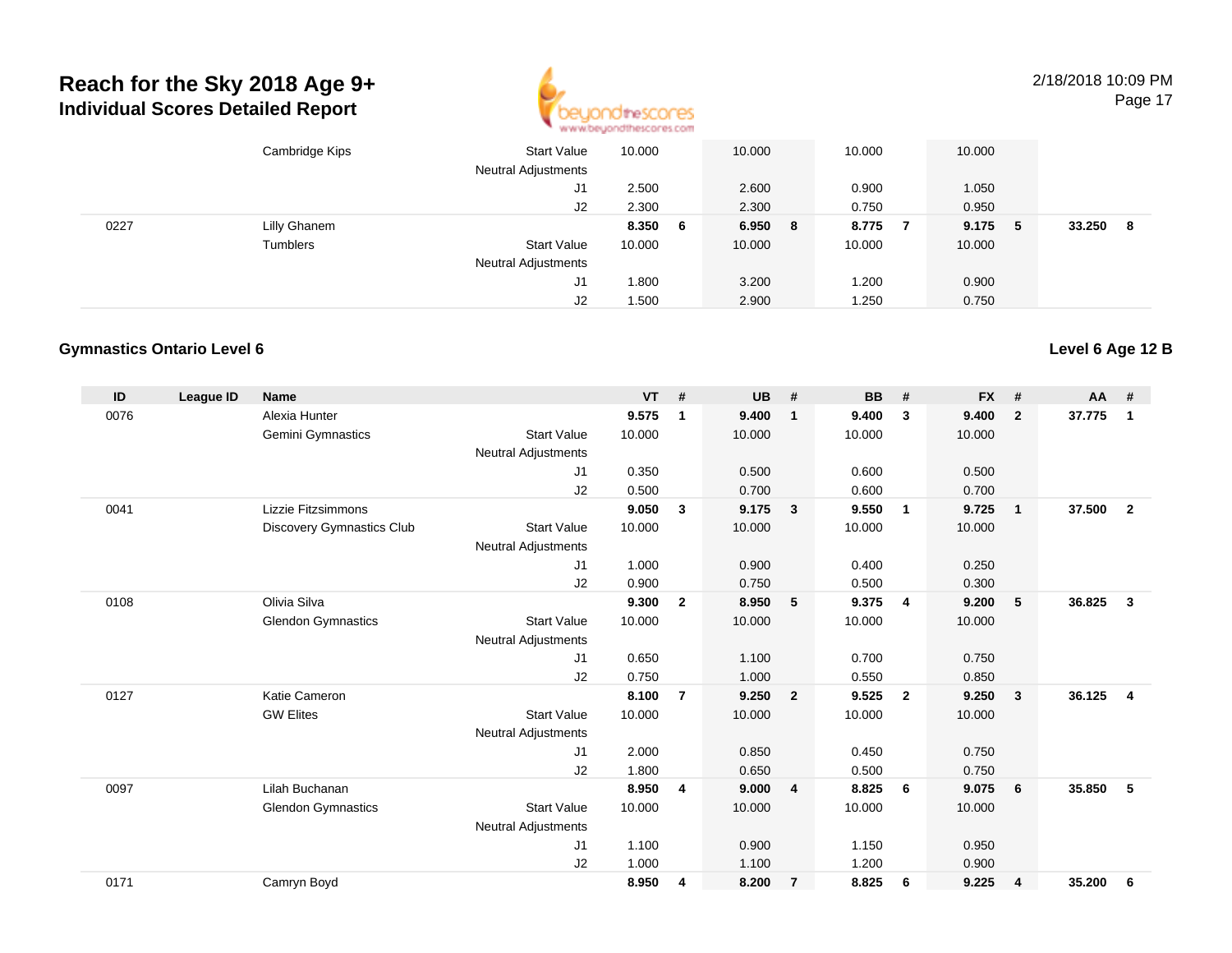

2/18/2018 10:09 PM

Page 17

|      | Cambridge Kips | Start Value<br><b>Neutral Adjustments</b> | 10.000 |    | 10.000  | 10.000 | 10.000 |    |        |    |
|------|----------------|-------------------------------------------|--------|----|---------|--------|--------|----|--------|----|
|      |                | J1                                        | 2.500  |    | 2.600   | 0.900  | 1.050  |    |        |    |
|      |                | J2                                        | 2.300  |    | 2.300   | 0.750  | 0.950  |    |        |    |
| 0227 | Lilly Ghanem   |                                           | 8.350  | -6 | 6.950 8 | 8.775  | 9.175  | -5 | 33.250 | -8 |
|      | Tumblers       | <b>Start Value</b>                        | 10.000 |    | 10.000  | 10.000 | 10.000 |    |        |    |
|      |                | <b>Neutral Adjustments</b>                |        |    |         |        |        |    |        |    |
|      |                | J1                                        | 0.800  |    | 3.200   | 1.200  | 0.900  |    |        |    |
|      |                | J2                                        | 1.500  |    | 2.900   | 1.250  | 0.750  |    |        |    |

#### **Gymnastics Ontario Level 6**

| ID   | <b>League ID</b> | <b>Name</b>                      |                            | <b>VT</b> | #              | <b>UB</b> | #                       | <b>BB</b> | #              | <b>FX</b> | #                       | AA     | #              |
|------|------------------|----------------------------------|----------------------------|-----------|----------------|-----------|-------------------------|-----------|----------------|-----------|-------------------------|--------|----------------|
| 0076 |                  | Alexia Hunter                    |                            | 9.575     | $\mathbf 1$    | 9.400     | $\overline{1}$          | 9.400     | 3              | 9.400     | $\overline{2}$          | 37.775 | 1              |
|      |                  | Gemini Gymnastics                | <b>Start Value</b>         | 10.000    |                | 10.000    |                         | 10.000    |                | 10.000    |                         |        |                |
|      |                  |                                  | <b>Neutral Adjustments</b> |           |                |           |                         |           |                |           |                         |        |                |
|      |                  |                                  | J1                         | 0.350     |                | 0.500     |                         | 0.600     |                | 0.500     |                         |        |                |
|      |                  |                                  | J2                         | 0.500     |                | 0.700     |                         | 0.600     |                | 0.700     |                         |        |                |
| 0041 |                  | Lizzie Fitzsimmons               |                            | 9.050     | $\mathbf{3}$   | 9.175     | $\overline{\mathbf{3}}$ | 9.550     | $\overline{1}$ | 9.725     | $\overline{1}$          | 37.500 | $\overline{2}$ |
|      |                  | <b>Discovery Gymnastics Club</b> | <b>Start Value</b>         | 10.000    |                | 10.000    |                         | 10.000    |                | 10.000    |                         |        |                |
|      |                  |                                  | <b>Neutral Adjustments</b> |           |                |           |                         |           |                |           |                         |        |                |
|      |                  |                                  | J <sub>1</sub>             | 1.000     |                | 0.900     |                         | 0.400     |                | 0.250     |                         |        |                |
|      |                  |                                  | J <sub>2</sub>             | 0.900     |                | 0.750     |                         | 0.500     |                | 0.300     |                         |        |                |
| 0108 |                  | Olivia Silva                     |                            | 9.300     | $\mathbf{2}$   | 8.950     | 5                       | 9.375     | $\overline{4}$ | 9.200     | 5                       | 36.825 | $\mathbf{3}$   |
|      |                  | <b>Glendon Gymnastics</b>        | <b>Start Value</b>         | 10.000    |                | 10.000    |                         | 10.000    |                | 10.000    |                         |        |                |
|      |                  |                                  | <b>Neutral Adjustments</b> |           |                |           |                         |           |                |           |                         |        |                |
|      |                  |                                  | J <sub>1</sub>             | 0.650     |                | 1.100     |                         | 0.700     |                | 0.750     |                         |        |                |
|      |                  |                                  | J <sub>2</sub>             | 0.750     |                | 1.000     |                         | 0.550     |                | 0.850     |                         |        |                |
| 0127 |                  | Katie Cameron                    |                            | 8.100     | $\overline{7}$ | 9.250     | $\overline{2}$          | 9.525     | $\overline{2}$ | 9.250     | $\mathbf{3}$            | 36.125 | $\overline{4}$ |
|      |                  | <b>GW Elites</b>                 | <b>Start Value</b>         | 10.000    |                | 10.000    |                         | 10.000    |                | 10.000    |                         |        |                |
|      |                  |                                  | <b>Neutral Adjustments</b> |           |                |           |                         |           |                |           |                         |        |                |
|      |                  |                                  | J <sub>1</sub>             | 2.000     |                | 0.850     |                         | 0.450     |                | 0.750     |                         |        |                |
|      |                  |                                  | J2                         | 1.800     |                | 0.650     |                         | 0.500     |                | 0.750     |                         |        |                |
| 0097 |                  | Lilah Buchanan                   |                            | 8.950     | 4              | 9.000     | $\overline{4}$          | 8.825     | 6              | 9.075     | 6                       | 35.850 | 5              |
|      |                  | <b>Glendon Gymnastics</b>        | <b>Start Value</b>         | 10.000    |                | 10.000    |                         | 10.000    |                | 10.000    |                         |        |                |
|      |                  |                                  | <b>Neutral Adjustments</b> |           |                |           |                         |           |                |           |                         |        |                |
|      |                  |                                  | J <sub>1</sub>             | 1.100     |                | 0.900     |                         | 1.150     |                | 0.950     |                         |        |                |
|      |                  |                                  | J <sub>2</sub>             | 1.000     |                | 1.100     |                         | 1.200     |                | 0.900     |                         |        |                |
| 0171 |                  | Camryn Boyd                      |                            | 8.950     | 4              | 8.200     | $\overline{7}$          | 8.825     | 6              | 9.225     | $\overline{\mathbf{4}}$ | 35.200 | 6              |
|      |                  |                                  |                            |           |                |           |                         |           |                |           |                         |        |                |

**Level 6 Age 12 B**